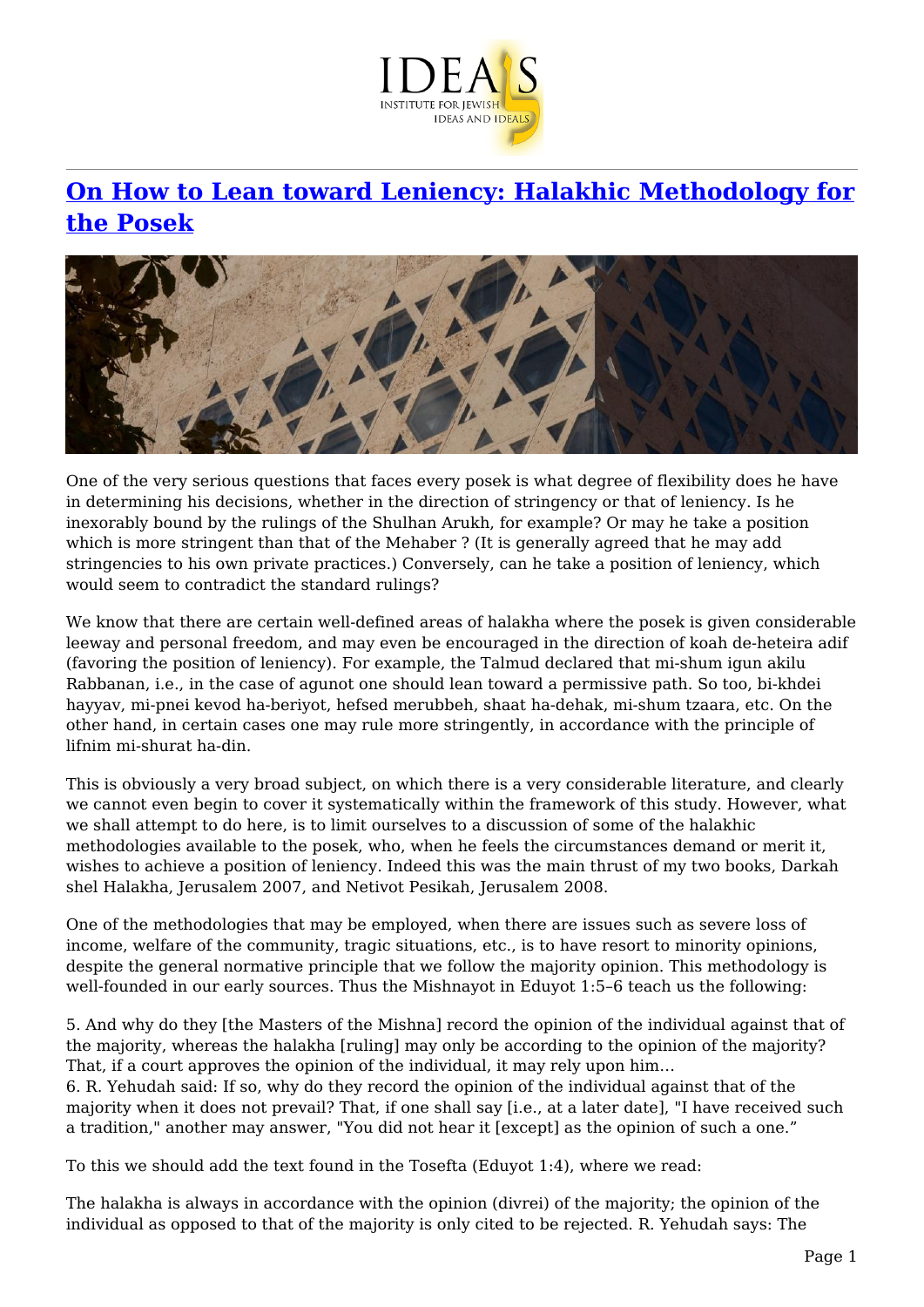

## **[On How to Lean toward Leniency: Halakhic Methodology for](https://www.jewishideas.org/article/how-lean-toward-leniency-halakhic-methodology-posek) [the Posek](https://www.jewishideas.org/article/how-lean-toward-leniency-halakhic-methodology-posek)**



One of the very serious questions that faces every posek is what degree of flexibility does he have in determining his decisions, whether in the direction of stringency or that of leniency. Is he inexorably bound by the rulings of the Shulhan Arukh, for example? Or may he take a position which is more stringent than that of the Mehaber ? (It is generally agreed that he may add stringencies to his own private practices.) Conversely, can he take a position of leniency, which would seem to contradict the standard rulings?

We know that there are certain well-defined areas of halakha where the posek is given considerable leeway and personal freedom, and may even be encouraged in the direction of koah de-heteira adif (favoring the position of leniency). For example, the Talmud declared that mi-shum igun akilu Rabbanan, i.e., in the case of agunot one should lean toward a permissive path. So too, bi-khdei hayyav, mi-pnei kevod ha-beriyot, hefsed merubbeh, shaat ha-dehak, mi-shum tzaara, etc. On the other hand, in certain cases one may rule more stringently, in accordance with the principle of lifnim mi-shurat ha-din.

This is obviously a very broad subject, on which there is a very considerable literature, and clearly we cannot even begin to cover it systematically within the framework of this study. However, what we shall attempt to do here, is to limit ourselves to a discussion of some of the halakhic methodologies available to the posek, who, when he feels the circumstances demand or merit it, wishes to achieve a position of leniency. Indeed this was the main thrust of my two books, Darkah shel Halakha, Jerusalem 2007, and Netivot Pesikah, Jerusalem 2008.

One of the methodologies that may be employed, when there are issues such as severe loss of income, welfare of the community, tragic situations, etc., is to have resort to minority opinions, despite the general normative principle that we follow the majority opinion. This methodology is well-founded in our early sources. Thus the Mishnayot in Eduyot 1:5–6 teach us the following:

5. And why do they [the Masters of the Mishna] record the opinion of the individual against that of the majority, whereas the halakha [ruling] may only be according to the opinion of the majority? That, if a court approves the opinion of the individual, it may rely upon him…

6. R. Yehudah said: If so, why do they record the opinion of the individual against that of the majority when it does not prevail? That, if one shall say [i.e., at a later date], "I have received such a tradition," another may answer, "You did not hear it [except] as the opinion of such a one."

To this we should add the text found in the Tosefta (Eduyot 1:4), where we read:

The halakha is always in accordance with the opinion (divrei) of the majority; the opinion of the individual as opposed to that of the majority is only cited to be rejected. R. Yehudah says: The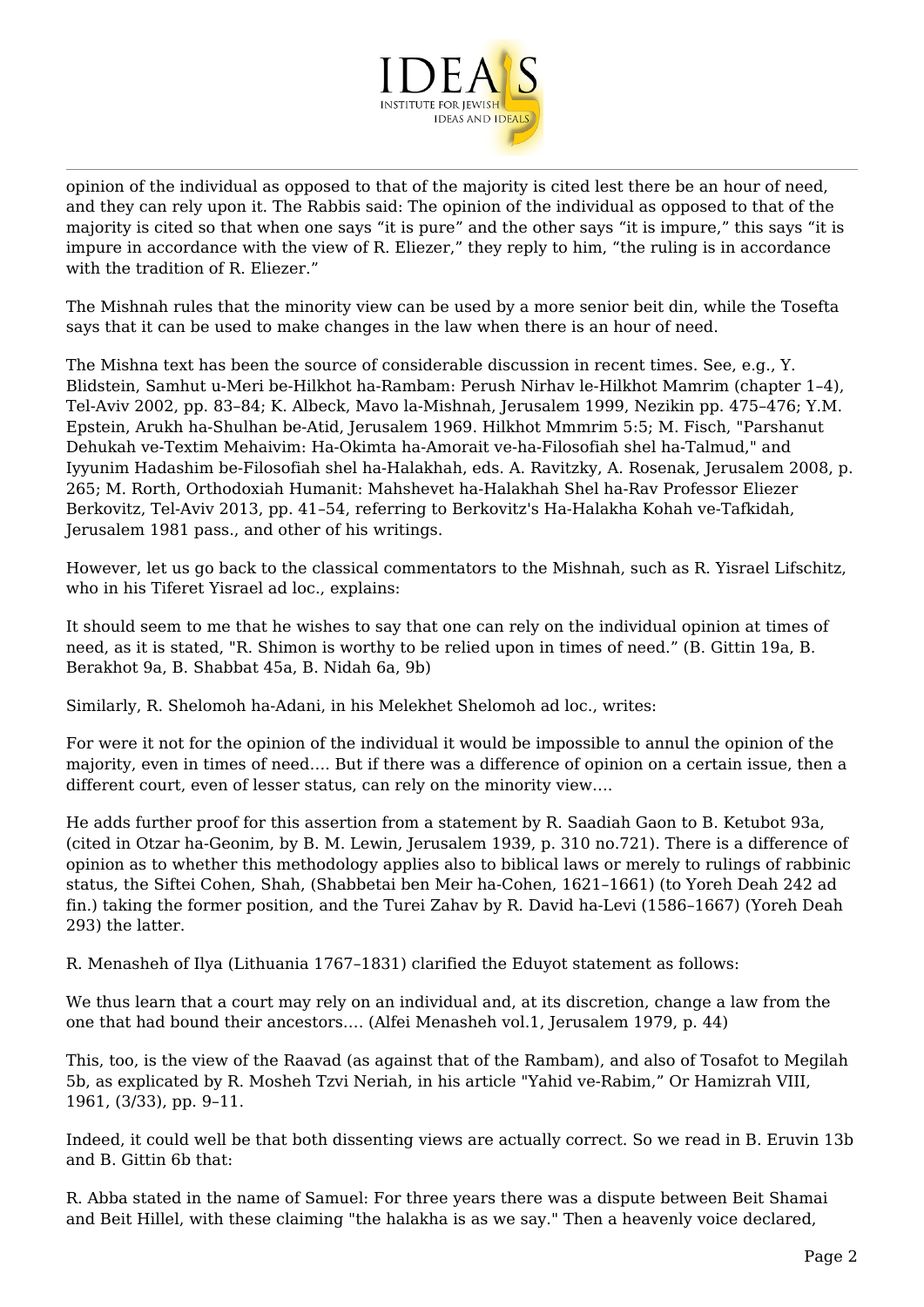

opinion of the individual as opposed to that of the majority is cited lest there be an hour of need, and they can rely upon it. The Rabbis said: The opinion of the individual as opposed to that of the majority is cited so that when one says "it is pure" and the other says "it is impure," this says "it is impure in accordance with the view of R. Eliezer," they reply to him, "the ruling is in accordance with the tradition of R. Eliezer."

The Mishnah rules that the minority view can be used by a more senior beit din, while the Tosefta says that it can be used to make changes in the law when there is an hour of need.

The Mishna text has been the source of considerable discussion in recent times. See, e.g., Y. Blidstein, Samhut u-Meri be-Hilkhot ha-Rambam: Perush Nirhav le-Hilkhot Mamrim (chapter 1–4), Tel-Aviv 2002, pp. 83–84; K. Albeck, Mavo la-Mishnah, Jerusalem 1999, Nezikin pp. 475–476; Y.M. Epstein, Arukh ha-Shulhan be-Atid, Jerusalem 1969. Hilkhot Mmmrim 5:5; M. Fisch, "Parshanut Dehukah ve-Textim Mehaivim: Ha-Okimta ha-Amorait ve-ha-Filosofiah shel ha-Talmud," and Iyyunim Hadashim be-Filosofiah shel ha-Halakhah, eds. A. Ravitzky, A. Rosenak, Jerusalem 2008, p. 265; M. Rorth, Orthodoxiah Humanit: Mahshevet ha-Halakhah Shel ha-Rav Professor Eliezer Berkovitz, Tel-Aviv 2013, pp. 41–54, referring to Berkovitz's Ha-Halakha Kohah ve-Tafkidah, Jerusalem 1981 pass., and other of his writings.

However, let us go back to the classical commentators to the Mishnah, such as R. Yisrael Lifschitz, who in his Tiferet Yisrael ad loc., explains:

It should seem to me that he wishes to say that one can rely on the individual opinion at times of need, as it is stated, "R. Shimon is worthy to be relied upon in times of need." (B. Gittin 19a, B. Berakhot 9a, B. Shabbat 45a, B. Nidah 6a, 9b)

Similarly, R. Shelomoh ha-Adani, in his Melekhet Shelomoh ad loc., writes:

For were it not for the opinion of the individual it would be impossible to annul the opinion of the majority, even in times of need…. But if there was a difference of opinion on a certain issue, then a different court, even of lesser status, can rely on the minority view….

He adds further proof for this assertion from a statement by R. Saadiah Gaon to B. Ketubot 93a, (cited in Otzar ha-Geonim, by B. M. Lewin, Jerusalem 1939, p. 310 no.721). There is a difference of opinion as to whether this methodology applies also to biblical laws or merely to rulings of rabbinic status, the Siftei Cohen, Shah, (Shabbetai ben Meir ha-Cohen, 1621–1661) (to Yoreh Deah 242 ad fin.) taking the former position, and the Turei Zahav by R. David ha-Levi (1586–1667) (Yoreh Deah 293) the latter.

R. Menasheh of Ilya (Lithuania 1767–1831) clarified the Eduyot statement as follows:

We thus learn that a court may rely on an individual and, at its discretion, change a law from the one that had bound their ancestors…. (Alfei Menasheh vol.1, Jerusalem 1979, p. 44)

This, too, is the view of the Raavad (as against that of the Rambam), and also of Tosafot to Megilah 5b, as explicated by R. Mosheh Tzvi Neriah, in his article "Yahid ve-Rabim," Or Hamizrah VIII, 1961, (3/33), pp. 9–11.

Indeed, it could well be that both dissenting views are actually correct. So we read in B. Eruvin 13b and B. Gittin 6b that:

R. Abba stated in the name of Samuel: For three years there was a dispute between Beit Shamai and Beit Hillel, with these claiming "the halakha is as we say." Then a heavenly voice declared,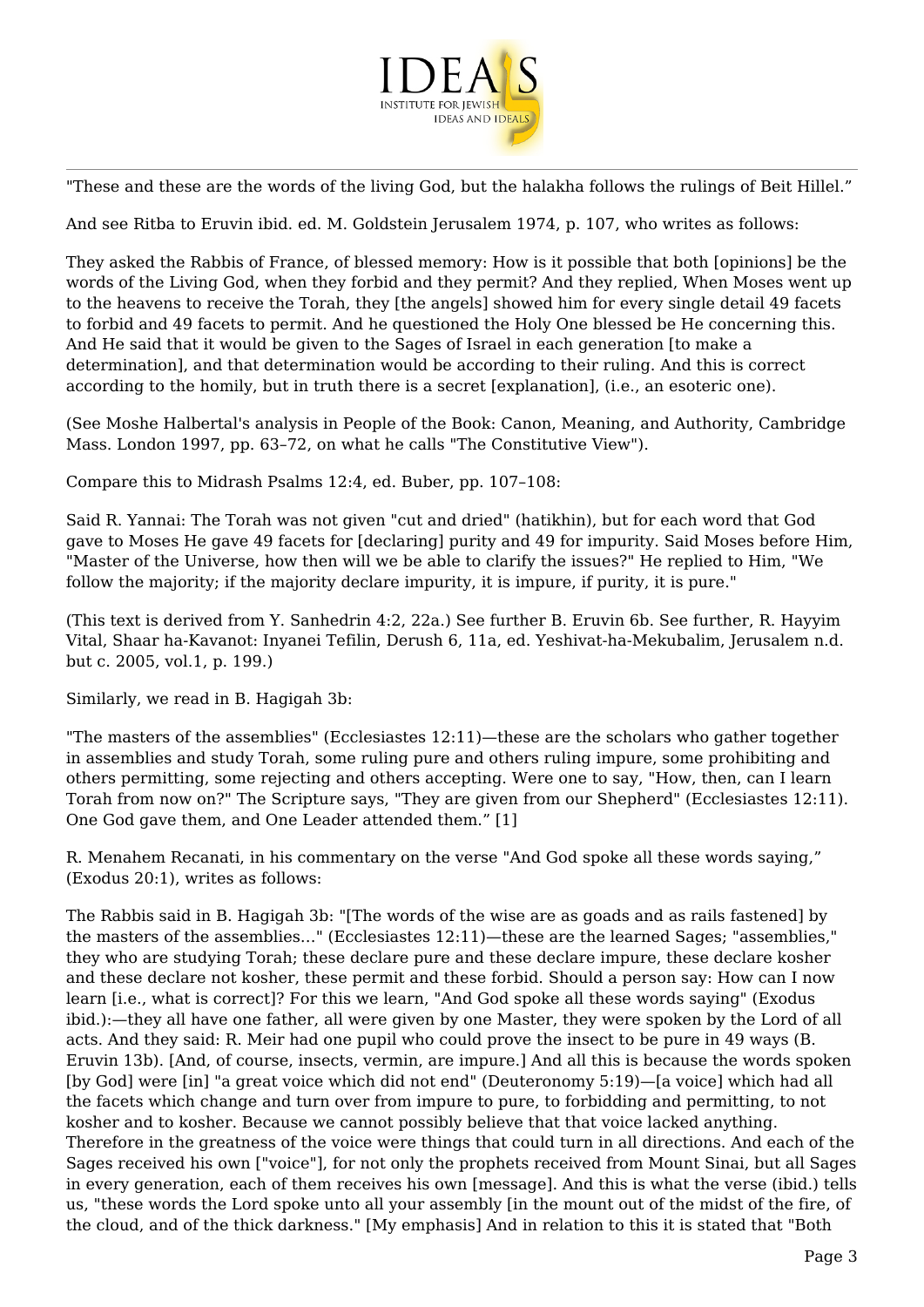

"These and these are the words of the living God, but the halakha follows the rulings of Beit Hillel."

And see Ritba to Eruvin ibid. ed. M. Goldstein Jerusalem 1974, p. 107, who writes as follows:

They asked the Rabbis of France, of blessed memory: How is it possible that both [opinions] be the words of the Living God, when they forbid and they permit? And they replied, When Moses went up to the heavens to receive the Torah, they [the angels] showed him for every single detail 49 facets to forbid and 49 facets to permit. And he questioned the Holy One blessed be He concerning this. And He said that it would be given to the Sages of Israel in each generation [to make a determination], and that determination would be according to their ruling. And this is correct according to the homily, but in truth there is a secret [explanation], (i.e., an esoteric one).

(See Moshe Halbertal's analysis in People of the Book: Canon, Meaning, and Authority, Cambridge Mass. London 1997, pp. 63–72, on what he calls "The Constitutive View").

Compare this to Midrash Psalms 12:4, ed. Buber, pp. 107–108:

Said R. Yannai: The Torah was not given "cut and dried" (hatikhin), but for each word that God gave to Moses He gave 49 facets for [declaring] purity and 49 for impurity. Said Moses before Him, "Master of the Universe, how then will we be able to clarify the issues?" He replied to Him, "We follow the majority; if the majority declare impurity, it is impure, if purity, it is pure."

(This text is derived from Y. Sanhedrin 4:2, 22a.) See further B. Eruvin 6b. See further, R. Hayyim Vital, Shaar ha-Kavanot: Inyanei Tefilin, Derush 6, 11a, ed. Yeshivat-ha-Mekubalim, Jerusalem n.d. but c. 2005, vol.1, p. 199.)

Similarly, we read in B. Hagigah 3b:

"The masters of the assemblies" (Ecclesiastes 12:11)—these are the scholars who gather together in assemblies and study Torah, some ruling pure and others ruling impure, some prohibiting and others permitting, some rejecting and others accepting. Were one to say, "How, then, can I learn Torah from now on?" The Scripture says, "They are given from our Shepherd" (Ecclesiastes 12:11). One God gave them, and One Leader attended them." [1]

R. Menahem Recanati, in his commentary on the verse "And God spoke all these words saying," (Exodus 20:1), writes as follows:

The Rabbis said in B. Hagigah 3b: "[The words of the wise are as goads and as rails fastened] by the masters of the assemblies…" (Ecclesiastes 12:11)—these are the learned Sages; "assemblies," they who are studying Torah; these declare pure and these declare impure, these declare kosher and these declare not kosher, these permit and these forbid. Should a person say: How can I now learn [i.e., what is correct]? For this we learn, "And God spoke all these words saying" (Exodus ibid.):—they all have one father, all were given by one Master, they were spoken by the Lord of all acts. And they said: R. Meir had one pupil who could prove the insect to be pure in 49 ways (B. Eruvin 13b). [And, of course, insects, vermin, are impure.] And all this is because the words spoken [by God] were [in] "a great voice which did not end" (Deuteronomy 5:19)—[a voice] which had all the facets which change and turn over from impure to pure, to forbidding and permitting, to not kosher and to kosher. Because we cannot possibly believe that that voice lacked anything. Therefore in the greatness of the voice were things that could turn in all directions. And each of the Sages received his own ["voice"], for not only the prophets received from Mount Sinai, but all Sages in every generation, each of them receives his own [message]. And this is what the verse (ibid.) tells us, "these words the Lord spoke unto all your assembly [in the mount out of the midst of the fire, of the cloud, and of the thick darkness." [My emphasis] And in relation to this it is stated that "Both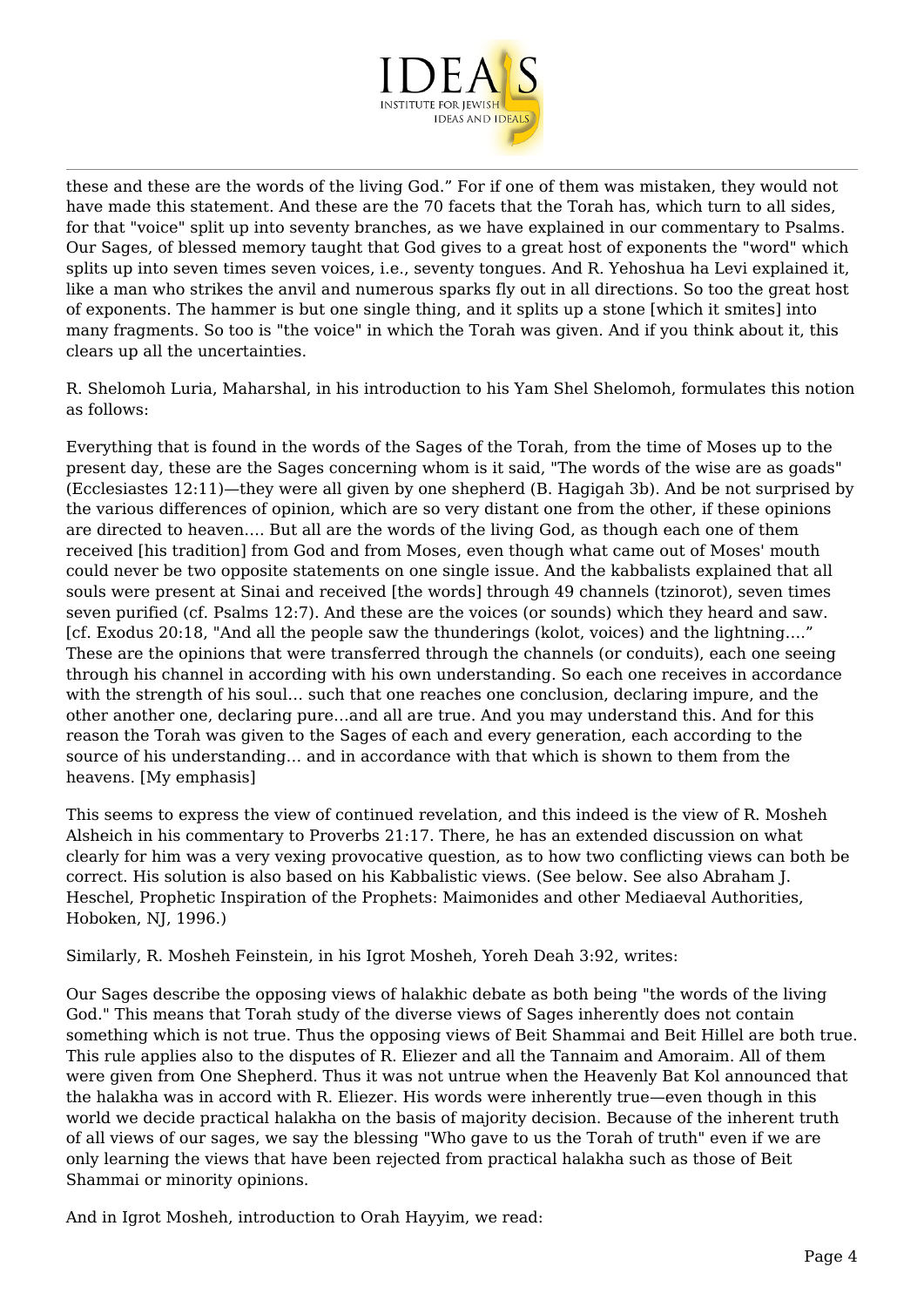

these and these are the words of the living God." For if one of them was mistaken, they would not have made this statement. And these are the 70 facets that the Torah has, which turn to all sides, for that "voice" split up into seventy branches, as we have explained in our commentary to Psalms. Our Sages, of blessed memory taught that God gives to a great host of exponents the "word" which splits up into seven times seven voices, i.e., seventy tongues. And R. Yehoshua ha Levi explained it, like a man who strikes the anvil and numerous sparks fly out in all directions. So too the great host of exponents. The hammer is but one single thing, and it splits up a stone [which it smites] into many fragments. So too is "the voice" in which the Torah was given. And if you think about it, this clears up all the uncertainties.

R. Shelomoh Luria, Maharshal, in his introduction to his Yam Shel Shelomoh, formulates this notion as follows:

Everything that is found in the words of the Sages of the Torah, from the time of Moses up to the present day, these are the Sages concerning whom is it said, "The words of the wise are as goads" (Ecclesiastes 12:11)—they were all given by one shepherd (B. Hagigah 3b). And be not surprised by the various differences of opinion, which are so very distant one from the other, if these opinions are directed to heaven…. But all are the words of the living God, as though each one of them received [his tradition] from God and from Moses, even though what came out of Moses' mouth could never be two opposite statements on one single issue. And the kabbalists explained that all souls were present at Sinai and received [the words] through 49 channels (tzinorot), seven times seven purified (cf. Psalms 12:7). And these are the voices (or sounds) which they heard and saw. [cf. Exodus 20:18, "And all the people saw the thunderings (kolot, voices) and the lightning…." These are the opinions that were transferred through the channels (or conduits), each one seeing through his channel in according with his own understanding. So each one receives in accordance with the strength of his soul… such that one reaches one conclusion, declaring impure, and the other another one, declaring pure…and all are true. And you may understand this. And for this reason the Torah was given to the Sages of each and every generation, each according to the source of his understanding… and in accordance with that which is shown to them from the heavens. [My emphasis]

This seems to express the view of continued revelation, and this indeed is the view of R. Mosheh Alsheich in his commentary to Proverbs 21:17. There, he has an extended discussion on what clearly for him was a very vexing provocative question, as to how two conflicting views can both be correct. His solution is also based on his Kabbalistic views. (See below. See also Abraham J. Heschel, Prophetic Inspiration of the Prophets: Maimonides and other Mediaeval Authorities, Hoboken, NJ, 1996.)

Similarly, R. Mosheh Feinstein, in his Igrot Mosheh, Yoreh Deah 3:92, writes:

Our Sages describe the opposing views of halakhic debate as both being "the words of the living God." This means that Torah study of the diverse views of Sages inherently does not contain something which is not true. Thus the opposing views of Beit Shammai and Beit Hillel are both true. This rule applies also to the disputes of R. Eliezer and all the Tannaim and Amoraim. All of them were given from One Shepherd. Thus it was not untrue when the Heavenly Bat Kol announced that the halakha was in accord with R. Eliezer. His words were inherently true—even though in this world we decide practical halakha on the basis of majority decision. Because of the inherent truth of all views of our sages, we say the blessing "Who gave to us the Torah of truth" even if we are only learning the views that have been rejected from practical halakha such as those of Beit Shammai or minority opinions.

And in Igrot Mosheh, introduction to Orah Hayyim, we read: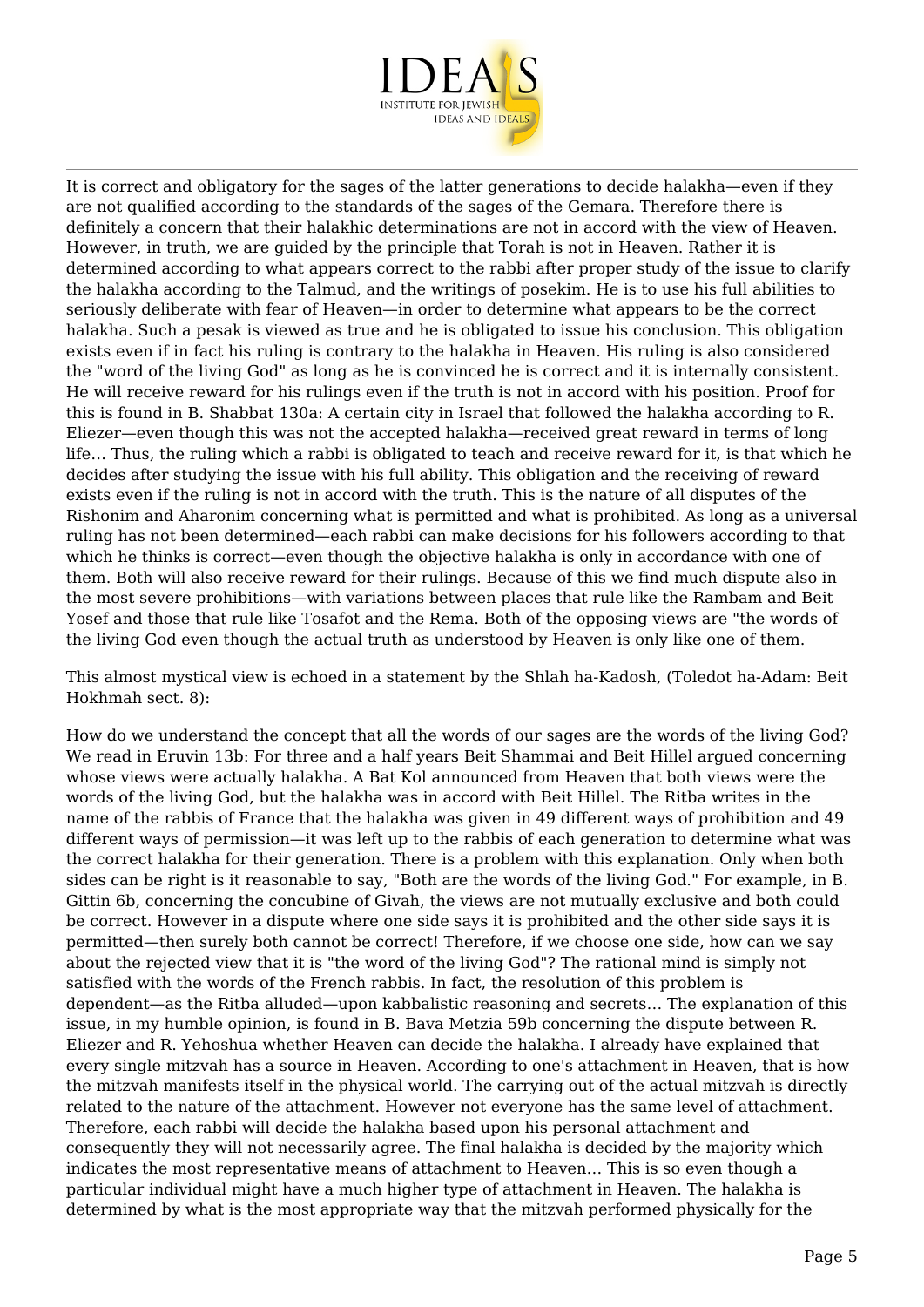

It is correct and obligatory for the sages of the latter generations to decide halakha—even if they are not qualified according to the standards of the sages of the Gemara. Therefore there is definitely a concern that their halakhic determinations are not in accord with the view of Heaven. However, in truth, we are guided by the principle that Torah is not in Heaven. Rather it is determined according to what appears correct to the rabbi after proper study of the issue to clarify the halakha according to the Talmud, and the writings of posekim. He is to use his full abilities to seriously deliberate with fear of Heaven—in order to determine what appears to be the correct halakha. Such a pesak is viewed as true and he is obligated to issue his conclusion. This obligation exists even if in fact his ruling is contrary to the halakha in Heaven. His ruling is also considered the "word of the living God" as long as he is convinced he is correct and it is internally consistent. He will receive reward for his rulings even if the truth is not in accord with his position. Proof for this is found in B. Shabbat 130a: A certain city in Israel that followed the halakha according to R. Eliezer—even though this was not the accepted halakha—received great reward in terms of long life… Thus, the ruling which a rabbi is obligated to teach and receive reward for it, is that which he decides after studying the issue with his full ability. This obligation and the receiving of reward exists even if the ruling is not in accord with the truth. This is the nature of all disputes of the Rishonim and Aharonim concerning what is permitted and what is prohibited. As long as a universal ruling has not been determined—each rabbi can make decisions for his followers according to that which he thinks is correct—even though the objective halakha is only in accordance with one of them. Both will also receive reward for their rulings. Because of this we find much dispute also in the most severe prohibitions—with variations between places that rule like the Rambam and Beit Yosef and those that rule like Tosafot and the Rema. Both of the opposing views are "the words of the living God even though the actual truth as understood by Heaven is only like one of them.

This almost mystical view is echoed in a statement by the Shlah ha-Kadosh, (Toledot ha-Adam: Beit Hokhmah sect. 8):

How do we understand the concept that all the words of our sages are the words of the living God? We read in Eruvin 13b: For three and a half years Beit Shammai and Beit Hillel argued concerning whose views were actually halakha. A Bat Kol announced from Heaven that both views were the words of the living God, but the halakha was in accord with Beit Hillel. The Ritba writes in the name of the rabbis of France that the halakha was given in 49 different ways of prohibition and 49 different ways of permission—it was left up to the rabbis of each generation to determine what was the correct halakha for their generation. There is a problem with this explanation. Only when both sides can be right is it reasonable to say, "Both are the words of the living God." For example, in B. Gittin 6b, concerning the concubine of Givah, the views are not mutually exclusive and both could be correct. However in a dispute where one side says it is prohibited and the other side says it is permitted—then surely both cannot be correct! Therefore, if we choose one side, how can we say about the rejected view that it is "the word of the living God"? The rational mind is simply not satisfied with the words of the French rabbis. In fact, the resolution of this problem is dependent—as the Ritba alluded—upon kabbalistic reasoning and secrets… The explanation of this issue, in my humble opinion, is found in B. Bava Metzia 59b concerning the dispute between R. Eliezer and R. Yehoshua whether Heaven can decide the halakha. I already have explained that every single mitzvah has a source in Heaven. According to one's attachment in Heaven, that is how the mitzvah manifests itself in the physical world. The carrying out of the actual mitzvah is directly related to the nature of the attachment. However not everyone has the same level of attachment. Therefore, each rabbi will decide the halakha based upon his personal attachment and consequently they will not necessarily agree. The final halakha is decided by the majority which indicates the most representative means of attachment to Heaven… This is so even though a particular individual might have a much higher type of attachment in Heaven. The halakha is determined by what is the most appropriate way that the mitzvah performed physically for the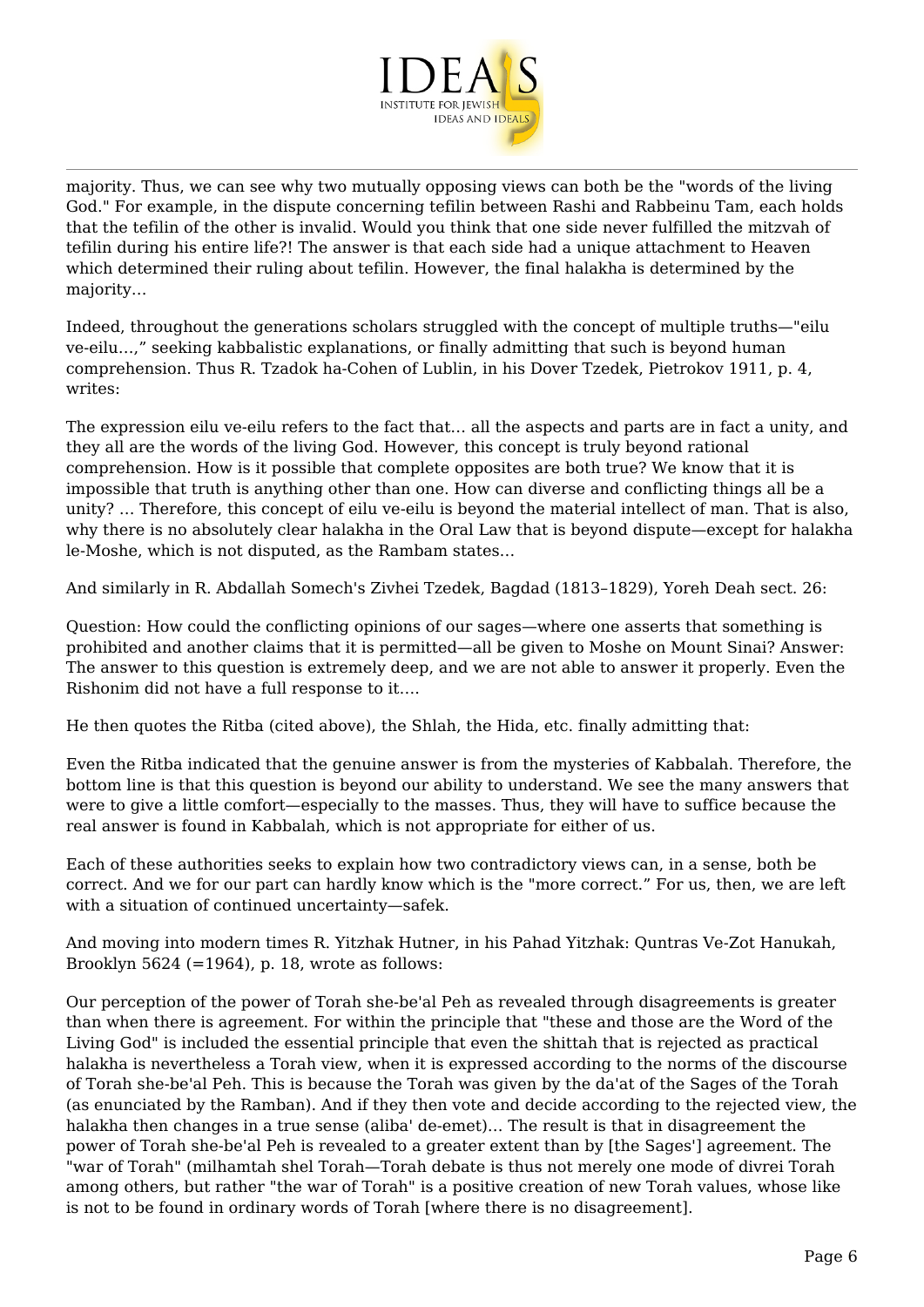

majority. Thus, we can see why two mutually opposing views can both be the "words of the living God." For example, in the dispute concerning tefilin between Rashi and Rabbeinu Tam, each holds that the tefilin of the other is invalid. Would you think that one side never fulfilled the mitzvah of tefilin during his entire life?! The answer is that each side had a unique attachment to Heaven which determined their ruling about tefilin. However, the final halakha is determined by the majority…

Indeed, throughout the generations scholars struggled with the concept of multiple truths—"eilu ve-eilu…," seeking kabbalistic explanations, or finally admitting that such is beyond human comprehension. Thus R. Tzadok ha-Cohen of Lublin, in his Dover Tzedek, Pietrokov 1911, p. 4, writes:

The expression eilu ve-eilu refers to the fact that… all the aspects and parts are in fact a unity, and they all are the words of the living God. However, this concept is truly beyond rational comprehension. How is it possible that complete opposites are both true? We know that it is impossible that truth is anything other than one. How can diverse and conflicting things all be a unity? … Therefore, this concept of eilu ve-eilu is beyond the material intellect of man. That is also, why there is no absolutely clear halakha in the Oral Law that is beyond dispute—except for halakha le-Moshe, which is not disputed, as the Rambam states…

And similarly in R. Abdallah Somech's Zivhei Tzedek, Bagdad (1813–1829), Yoreh Deah sect. 26:

Question: How could the conflicting opinions of our sages—where one asserts that something is prohibited and another claims that it is permitted—all be given to Moshe on Mount Sinai? Answer: The answer to this question is extremely deep, and we are not able to answer it properly. Even the Rishonim did not have a full response to it….

He then quotes the Ritba (cited above), the Shlah, the Hida, etc. finally admitting that:

Even the Ritba indicated that the genuine answer is from the mysteries of Kabbalah. Therefore, the bottom line is that this question is beyond our ability to understand. We see the many answers that were to give a little comfort—especially to the masses. Thus, they will have to suffice because the real answer is found in Kabbalah, which is not appropriate for either of us.

Each of these authorities seeks to explain how two contradictory views can, in a sense, both be correct. And we for our part can hardly know which is the "more correct." For us, then, we are left with a situation of continued uncertainty—safek.

And moving into modern times R. Yitzhak Hutner, in his Pahad Yitzhak: Quntras Ve-Zot Hanukah, Brooklyn 5624  $(=1964)$ , p. 18, wrote as follows:

Our perception of the power of Torah she-be'al Peh as revealed through disagreements is greater than when there is agreement. For within the principle that "these and those are the Word of the Living God" is included the essential principle that even the shittah that is rejected as practical halakha is nevertheless a Torah view, when it is expressed according to the norms of the discourse of Torah she-be'al Peh. This is because the Torah was given by the da'at of the Sages of the Torah (as enunciated by the Ramban). And if they then vote and decide according to the rejected view, the halakha then changes in a true sense (aliba' de-emet)… The result is that in disagreement the power of Torah she-be'al Peh is revealed to a greater extent than by [the Sages'] agreement. The "war of Torah" (milhamtah shel Torah—Torah debate is thus not merely one mode of divrei Torah among others, but rather "the war of Torah" is a positive creation of new Torah values, whose like is not to be found in ordinary words of Torah [where there is no disagreement].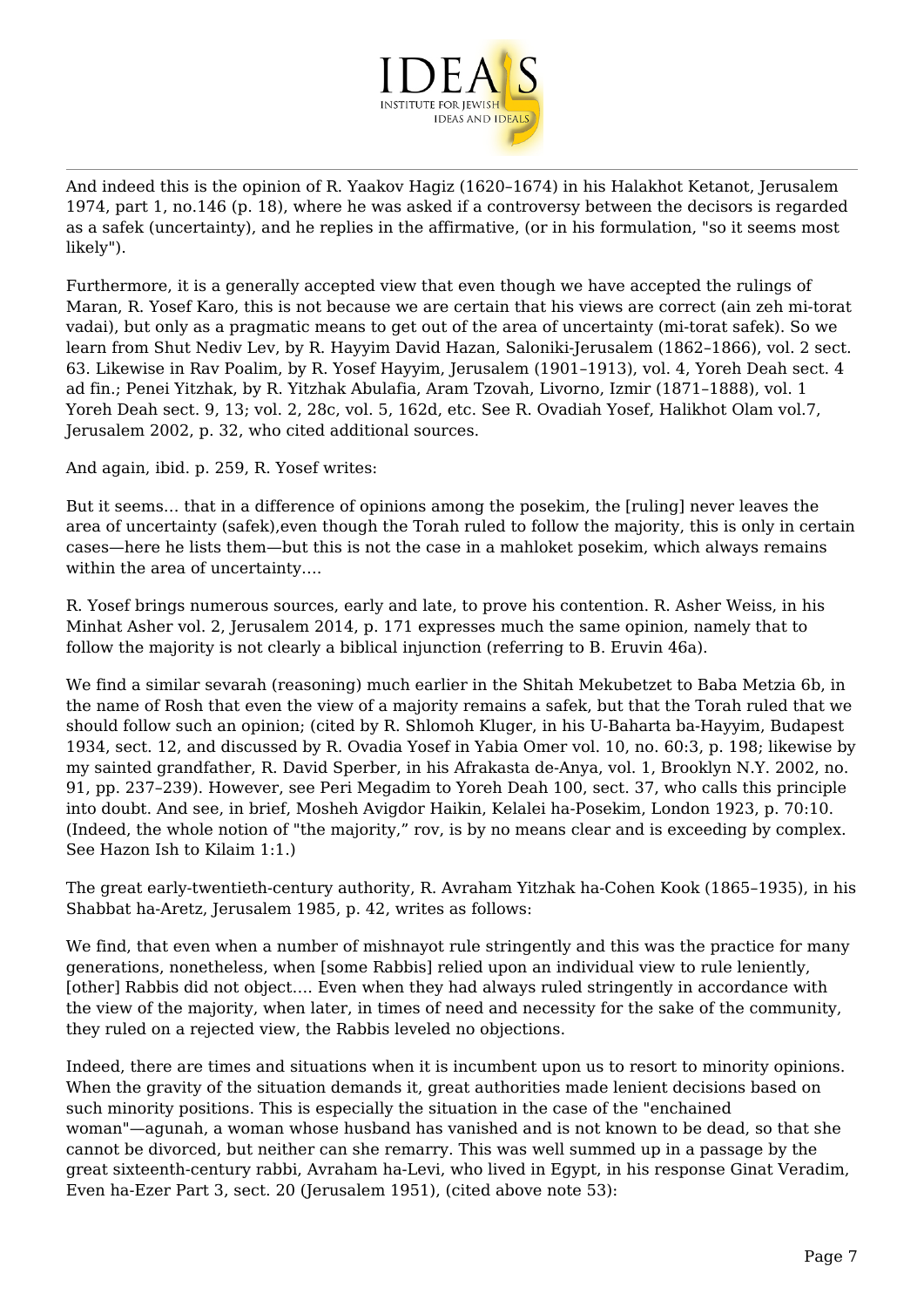

And indeed this is the opinion of R. Yaakov Hagiz (1620–1674) in his Halakhot Ketanot, Jerusalem 1974, part 1, no.146 (p. 18), where he was asked if a controversy between the decisors is regarded as a safek (uncertainty), and he replies in the affirmative, (or in his formulation, "so it seems most likely").

Furthermore, it is a generally accepted view that even though we have accepted the rulings of Maran, R. Yosef Karo, this is not because we are certain that his views are correct (ain zeh mi-torat vadai), but only as a pragmatic means to get out of the area of uncertainty (mi-torat safek). So we learn from Shut Nediv Lev, by R. Hayyim David Hazan, Saloniki-Jerusalem (1862–1866), vol. 2 sect. 63. Likewise in Rav Poalim, by R. Yosef Hayyim, Jerusalem (1901–1913), vol. 4, Yoreh Deah sect. 4 ad fin.; Penei Yitzhak, by R. Yitzhak Abulafia, Aram Tzovah, Livorno, Izmir (1871–1888), vol. 1 Yoreh Deah sect. 9, 13; vol. 2, 28c, vol. 5, 162d, etc. See R. Ovadiah Yosef, Halikhot Olam vol.7, Jerusalem 2002, p. 32, who cited additional sources.

And again, ibid. p. 259, R. Yosef writes:

But it seems… that in a difference of opinions among the posekim, the [ruling] never leaves the area of uncertainty (safek),even though the Torah ruled to follow the majority, this is only in certain cases—here he lists them—but this is not the case in a mahloket posekim, which always remains within the area of uncertainty….

R. Yosef brings numerous sources, early and late, to prove his contention. R. Asher Weiss, in his Minhat Asher vol. 2, Jerusalem 2014, p. 171 expresses much the same opinion, namely that to follow the majority is not clearly a biblical injunction (referring to B. Eruvin 46a).

We find a similar sevarah (reasoning) much earlier in the Shitah Mekubetzet to Baba Metzia 6b, in the name of Rosh that even the view of a majority remains a safek, but that the Torah ruled that we should follow such an opinion; (cited by R. Shlomoh Kluger, in his U-Baharta ba-Hayyim, Budapest 1934, sect. 12, and discussed by R. Ovadia Yosef in Yabia Omer vol. 10, no. 60:3, p. 198; likewise by my sainted grandfather, R. David Sperber, in his Afrakasta de-Anya, vol. 1, Brooklyn N.Y. 2002, no. 91, pp. 237–239). However, see Peri Megadim to Yoreh Deah 100, sect. 37, who calls this principle into doubt. And see, in brief, Mosheh Avigdor Haikin, Kelalei ha-Posekim, London 1923, p. 70:10. (Indeed, the whole notion of "the majority," rov, is by no means clear and is exceeding by complex. See Hazon Ish to Kilaim 1:1.)

The great early-twentieth-century authority, R. Avraham Yitzhak ha-Cohen Kook (1865–1935), in his Shabbat ha-Aretz, Jerusalem 1985, p. 42, writes as follows:

We find, that even when a number of mishnayot rule stringently and this was the practice for many generations, nonetheless, when [some Rabbis] relied upon an individual view to rule leniently, [other] Rabbis did not object…. Even when they had always ruled stringently in accordance with the view of the majority, when later, in times of need and necessity for the sake of the community, they ruled on a rejected view, the Rabbis leveled no objections.

Indeed, there are times and situations when it is incumbent upon us to resort to minority opinions. When the gravity of the situation demands it, great authorities made lenient decisions based on such minority positions. This is especially the situation in the case of the "enchained woman"—agunah, a woman whose husband has vanished and is not known to be dead, so that she cannot be divorced, but neither can she remarry. This was well summed up in a passage by the great sixteenth-century rabbi, Avraham ha-Levi, who lived in Egypt, in his response Ginat Veradim, Even ha-Ezer Part 3, sect. 20 (Jerusalem 1951), (cited above note 53):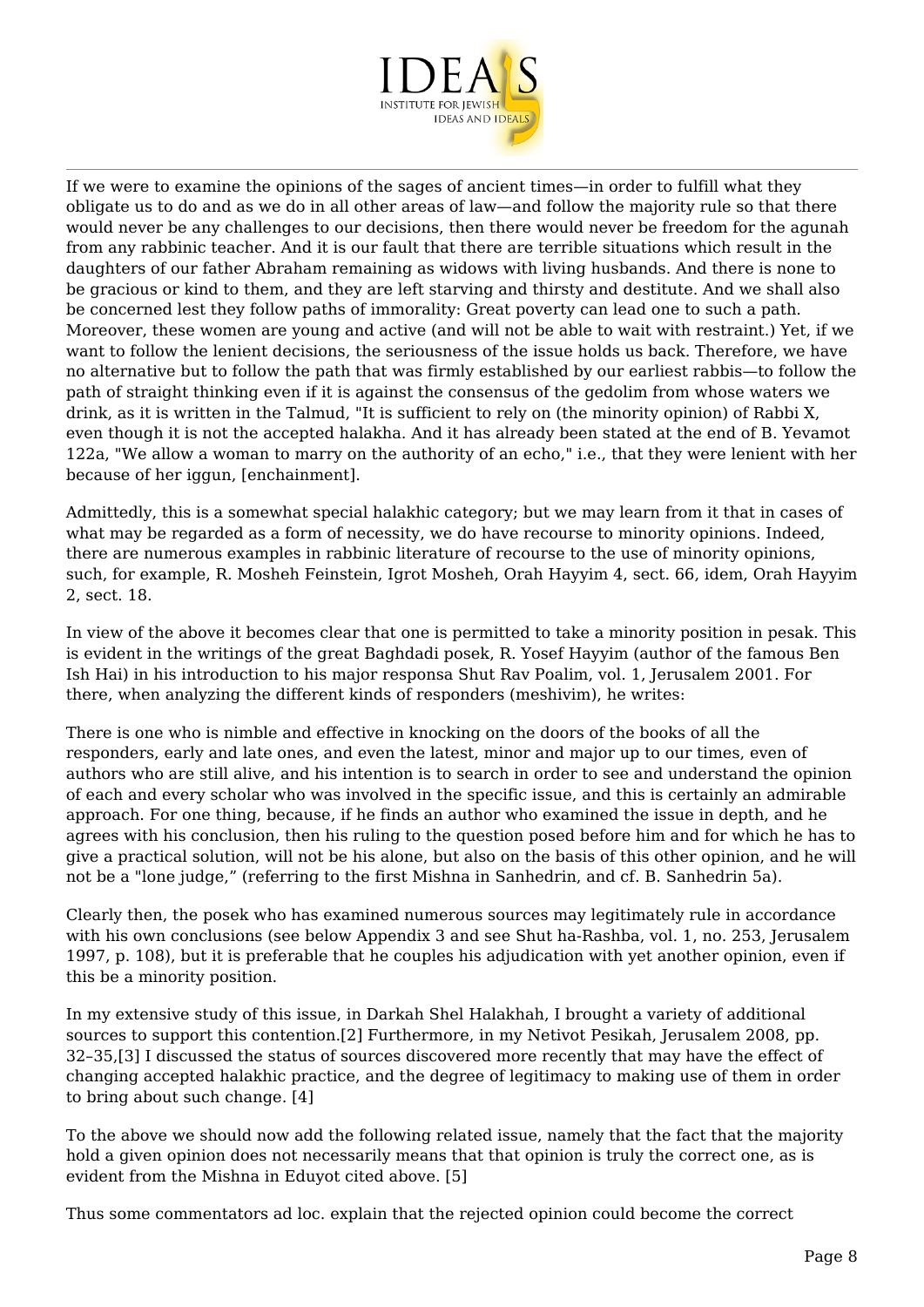

If we were to examine the opinions of the sages of ancient times—in order to fulfill what they obligate us to do and as we do in all other areas of law—and follow the majority rule so that there would never be any challenges to our decisions, then there would never be freedom for the agunah from any rabbinic teacher. And it is our fault that there are terrible situations which result in the daughters of our father Abraham remaining as widows with living husbands. And there is none to be gracious or kind to them, and they are left starving and thirsty and destitute. And we shall also be concerned lest they follow paths of immorality: Great poverty can lead one to such a path. Moreover, these women are young and active (and will not be able to wait with restraint.) Yet, if we want to follow the lenient decisions, the seriousness of the issue holds us back. Therefore, we have no alternative but to follow the path that was firmly established by our earliest rabbis—to follow the path of straight thinking even if it is against the consensus of the gedolim from whose waters we drink, as it is written in the Talmud, "It is sufficient to rely on (the minority opinion) of Rabbi X, even though it is not the accepted halakha. And it has already been stated at the end of B. Yevamot 122a, "We allow a woman to marry on the authority of an echo," i.e., that they were lenient with her because of her iggun, [enchainment].

Admittedly, this is a somewhat special halakhic category; but we may learn from it that in cases of what may be regarded as a form of necessity, we do have recourse to minority opinions. Indeed, there are numerous examples in rabbinic literature of recourse to the use of minority opinions, such, for example, R. Mosheh Feinstein, Igrot Mosheh, Orah Hayyim 4, sect. 66, idem, Orah Hayyim 2, sect. 18.

In view of the above it becomes clear that one is permitted to take a minority position in pesak. This is evident in the writings of the great Baghdadi posek, R. Yosef Hayyim (author of the famous Ben Ish Hai) in his introduction to his major responsa Shut Rav Poalim, vol. 1, Jerusalem 2001. For there, when analyzing the different kinds of responders (meshivim), he writes:

There is one who is nimble and effective in knocking on the doors of the books of all the responders, early and late ones, and even the latest, minor and major up to our times, even of authors who are still alive, and his intention is to search in order to see and understand the opinion of each and every scholar who was involved in the specific issue, and this is certainly an admirable approach. For one thing, because, if he finds an author who examined the issue in depth, and he agrees with his conclusion, then his ruling to the question posed before him and for which he has to give a practical solution, will not be his alone, but also on the basis of this other opinion, and he will not be a "lone judge," (referring to the first Mishna in Sanhedrin, and cf. B. Sanhedrin 5a).

Clearly then, the posek who has examined numerous sources may legitimately rule in accordance with his own conclusions (see below Appendix 3 and see Shut ha-Rashba, vol. 1, no. 253, Jerusalem 1997, p. 108), but it is preferable that he couples his adjudication with yet another opinion, even if this be a minority position.

In my extensive study of this issue, in Darkah Shel Halakhah, I brought a variety of additional sources to support this contention.[2] Furthermore, in my Netivot Pesikah, Jerusalem 2008, pp. 32–35,[3] I discussed the status of sources discovered more recently that may have the effect of changing accepted halakhic practice, and the degree of legitimacy to making use of them in order to bring about such change. [4]

To the above we should now add the following related issue, namely that the fact that the majority hold a given opinion does not necessarily means that that opinion is truly the correct one, as is evident from the Mishna in Eduyot cited above. [5]

Thus some commentators ad loc. explain that the rejected opinion could become the correct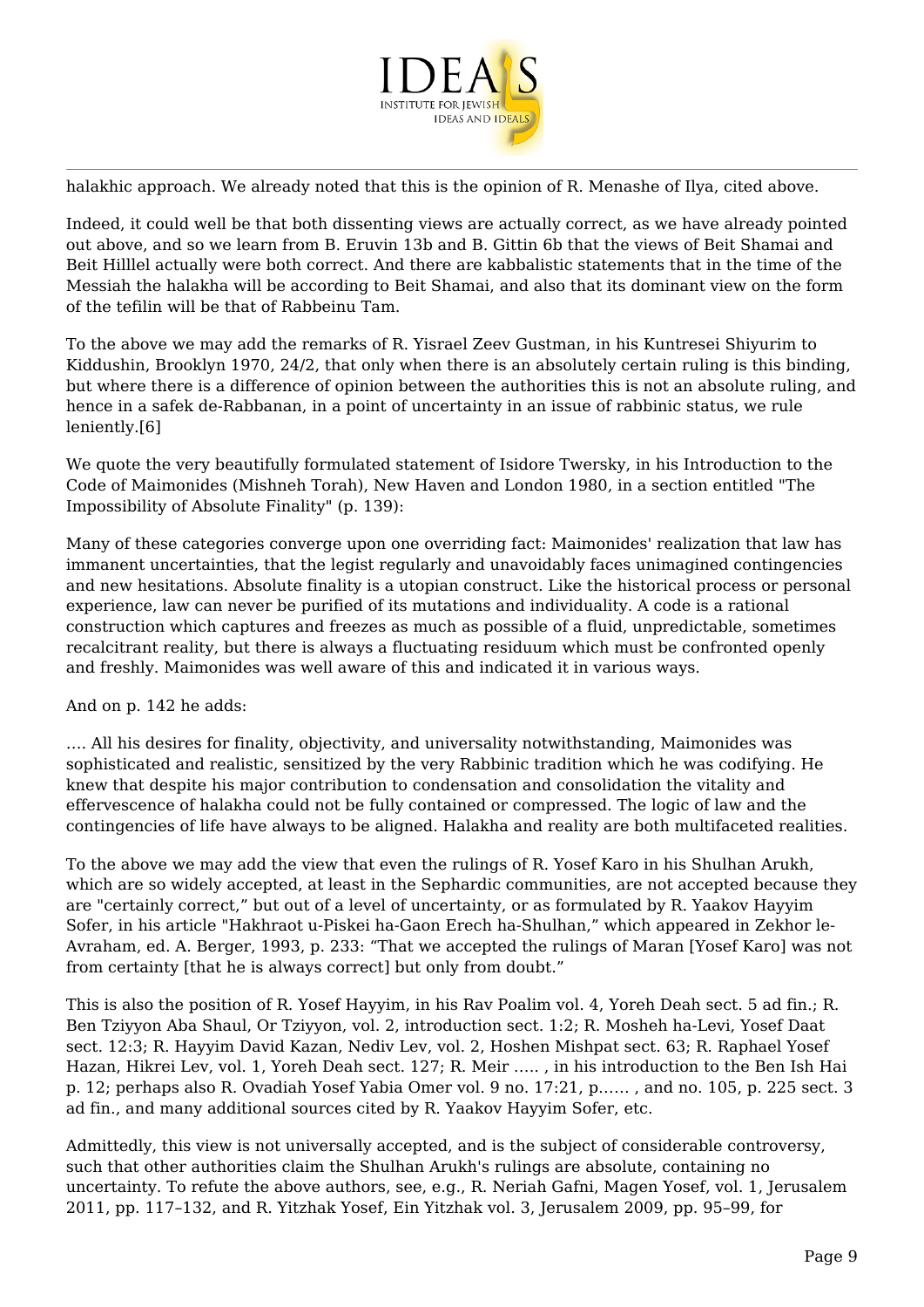

halakhic approach. We already noted that this is the opinion of R. Menashe of Ilya, cited above.

Indeed, it could well be that both dissenting views are actually correct, as we have already pointed out above, and so we learn from B. Eruvin 13b and B. Gittin 6b that the views of Beit Shamai and Beit Hilllel actually were both correct. And there are kabbalistic statements that in the time of the Messiah the halakha will be according to Beit Shamai, and also that its dominant view on the form of the tefilin will be that of Rabbeinu Tam.

To the above we may add the remarks of R. Yisrael Zeev Gustman, in his Kuntresei Shiyurim to Kiddushin, Brooklyn 1970, 24/2, that only when there is an absolutely certain ruling is this binding, but where there is a difference of opinion between the authorities this is not an absolute ruling, and hence in a safek de-Rabbanan, in a point of uncertainty in an issue of rabbinic status, we rule leniently.[6]

We quote the very beautifully formulated statement of Isidore Twersky, in his Introduction to the Code of Maimonides (Mishneh Torah), New Haven and London 1980, in a section entitled "The Impossibility of Absolute Finality" (p. 139):

Many of these categories converge upon one overriding fact: Maimonides' realization that law has immanent uncertainties, that the legist regularly and unavoidably faces unimagined contingencies and new hesitations. Absolute finality is a utopian construct. Like the historical process or personal experience, law can never be purified of its mutations and individuality. A code is a rational construction which captures and freezes as much as possible of a fluid, unpredictable, sometimes recalcitrant reality, but there is always a fluctuating residuum which must be confronted openly and freshly. Maimonides was well aware of this and indicated it in various ways.

## And on p. 142 he adds:

…. All his desires for finality, objectivity, and universality notwithstanding, Maimonides was sophisticated and realistic, sensitized by the very Rabbinic tradition which he was codifying. He knew that despite his major contribution to condensation and consolidation the vitality and effervescence of halakha could not be fully contained or compressed. The logic of law and the contingencies of life have always to be aligned. Halakha and reality are both multifaceted realities.

To the above we may add the view that even the rulings of R. Yosef Karo in his Shulhan Arukh, which are so widely accepted, at least in the Sephardic communities, are not accepted because they are "certainly correct," but out of a level of uncertainty, or as formulated by R. Yaakov Hayyim Sofer, in his article "Hakhraot u-Piskei ha-Gaon Erech ha-Shulhan," which appeared in Zekhor le-Avraham, ed. A. Berger, 1993, p. 233: "That we accepted the rulings of Maran [Yosef Karo] was not from certainty [that he is always correct] but only from doubt."

This is also the position of R. Yosef Hayyim, in his Rav Poalim vol. 4, Yoreh Deah sect. 5 ad fin.; R. Ben Tziyyon Aba Shaul, Or Tziyyon, vol. 2, introduction sect. 1:2; R. Mosheh ha-Levi, Yosef Daat sect. 12:3; R. Hayyim David Kazan, Nediv Lev, vol. 2, Hoshen Mishpat sect. 63; R. Raphael Yosef Hazan, Hikrei Lev, vol. 1, Yoreh Deah sect. 127; R. Meir ….. , in his introduction to the Ben Ish Hai p. 12; perhaps also R. Ovadiah Yosef Yabia Omer vol. 9 no. 17:21, p…… , and no. 105, p. 225 sect. 3 ad fin., and many additional sources cited by R. Yaakov Hayyim Sofer, etc.

Admittedly, this view is not universally accepted, and is the subject of considerable controversy, such that other authorities claim the Shulhan Arukh's rulings are absolute, containing no uncertainty. To refute the above authors, see, e.g., R. Neriah Gafni, Magen Yosef, vol. 1, Jerusalem 2011, pp. 117–132, and R. Yitzhak Yosef, Ein Yitzhak vol. 3, Jerusalem 2009, pp. 95–99, for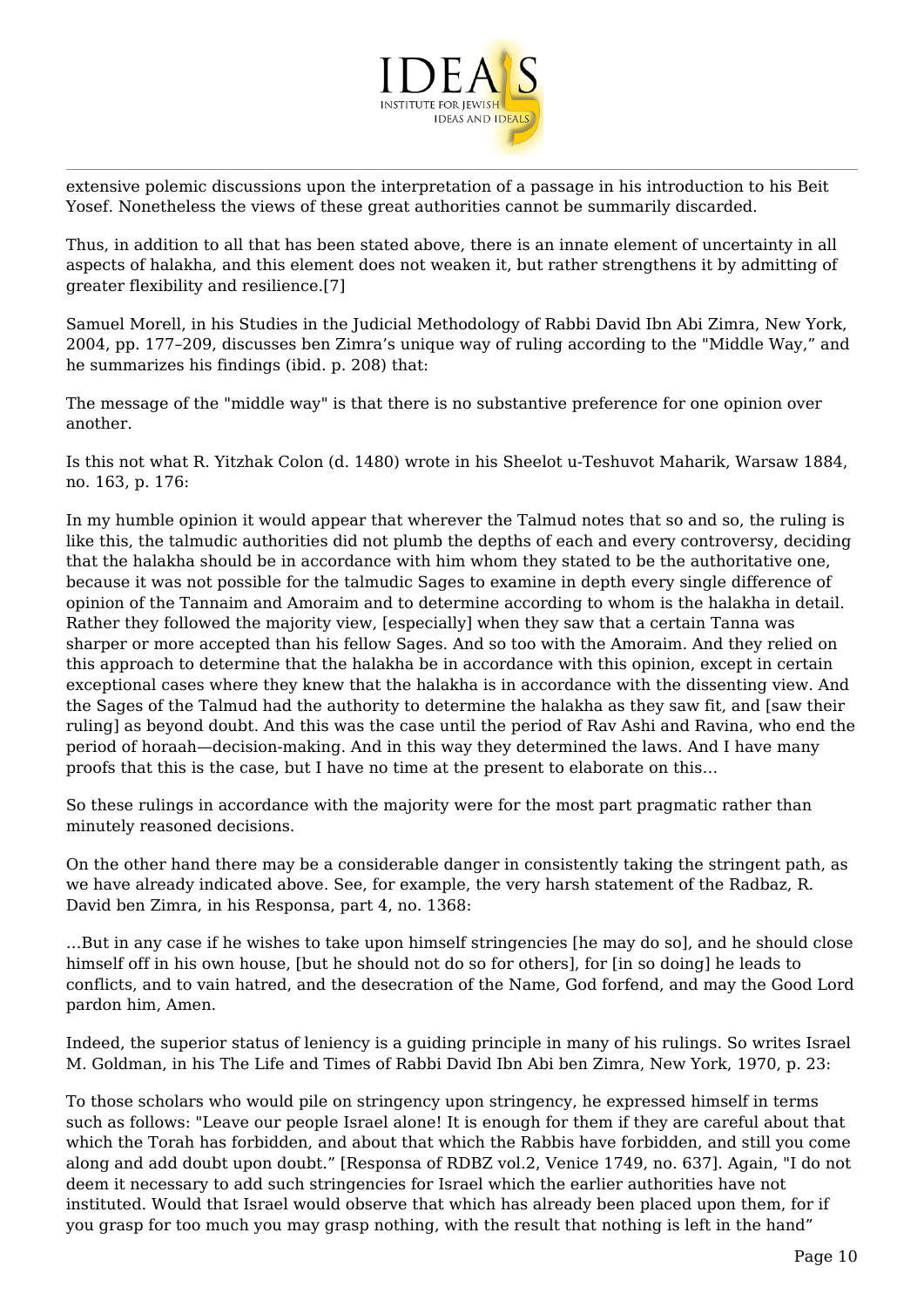

extensive polemic discussions upon the interpretation of a passage in his introduction to his Beit Yosef. Nonetheless the views of these great authorities cannot be summarily discarded.

Thus, in addition to all that has been stated above, there is an innate element of uncertainty in all aspects of halakha, and this element does not weaken it, but rather strengthens it by admitting of greater flexibility and resilience.[7]

Samuel Morell, in his Studies in the Judicial Methodology of Rabbi David Ibn Abi Zimra, New York, 2004, pp. 177–209, discusses ben Zimra's unique way of ruling according to the "Middle Way," and he summarizes his findings (ibid. p. 208) that:

The message of the "middle way" is that there is no substantive preference for one opinion over another.

Is this not what R. Yitzhak Colon (d. 1480) wrote in his Sheelot u-Teshuvot Maharik, Warsaw 1884, no. 163, p. 176:

In my humble opinion it would appear that wherever the Talmud notes that so and so, the ruling is like this, the talmudic authorities did not plumb the depths of each and every controversy, deciding that the halakha should be in accordance with him whom they stated to be the authoritative one, because it was not possible for the talmudic Sages to examine in depth every single difference of opinion of the Tannaim and Amoraim and to determine according to whom is the halakha in detail. Rather they followed the majority view, [especially] when they saw that a certain Tanna was sharper or more accepted than his fellow Sages. And so too with the Amoraim. And they relied on this approach to determine that the halakha be in accordance with this opinion, except in certain exceptional cases where they knew that the halakha is in accordance with the dissenting view. And the Sages of the Talmud had the authority to determine the halakha as they saw fit, and [saw their ruling] as beyond doubt. And this was the case until the period of Rav Ashi and Ravina, who end the period of horaah—decision-making. And in this way they determined the laws. And I have many proofs that this is the case, but I have no time at the present to elaborate on this…

So these rulings in accordance with the majority were for the most part pragmatic rather than minutely reasoned decisions.

On the other hand there may be a considerable danger in consistently taking the stringent path, as we have already indicated above. See, for example, the very harsh statement of the Radbaz, R. David ben Zimra, in his Responsa, part 4, no. 1368:

…But in any case if he wishes to take upon himself stringencies [he may do so], and he should close himself off in his own house, [but he should not do so for others], for [in so doing] he leads to conflicts, and to vain hatred, and the desecration of the Name, God forfend, and may the Good Lord pardon him, Amen.

Indeed, the superior status of leniency is a guiding principle in many of his rulings. So writes Israel M. Goldman, in his The Life and Times of Rabbi David Ibn Abi ben Zimra, New York, 1970, p. 23:

To those scholars who would pile on stringency upon stringency, he expressed himself in terms such as follows: "Leave our people Israel alone! It is enough for them if they are careful about that which the Torah has forbidden, and about that which the Rabbis have forbidden, and still you come along and add doubt upon doubt." [Responsa of RDBZ vol.2, Venice 1749, no. 637]. Again, "I do not deem it necessary to add such stringencies for Israel which the earlier authorities have not instituted. Would that Israel would observe that which has already been placed upon them, for if you grasp for too much you may grasp nothing, with the result that nothing is left in the hand"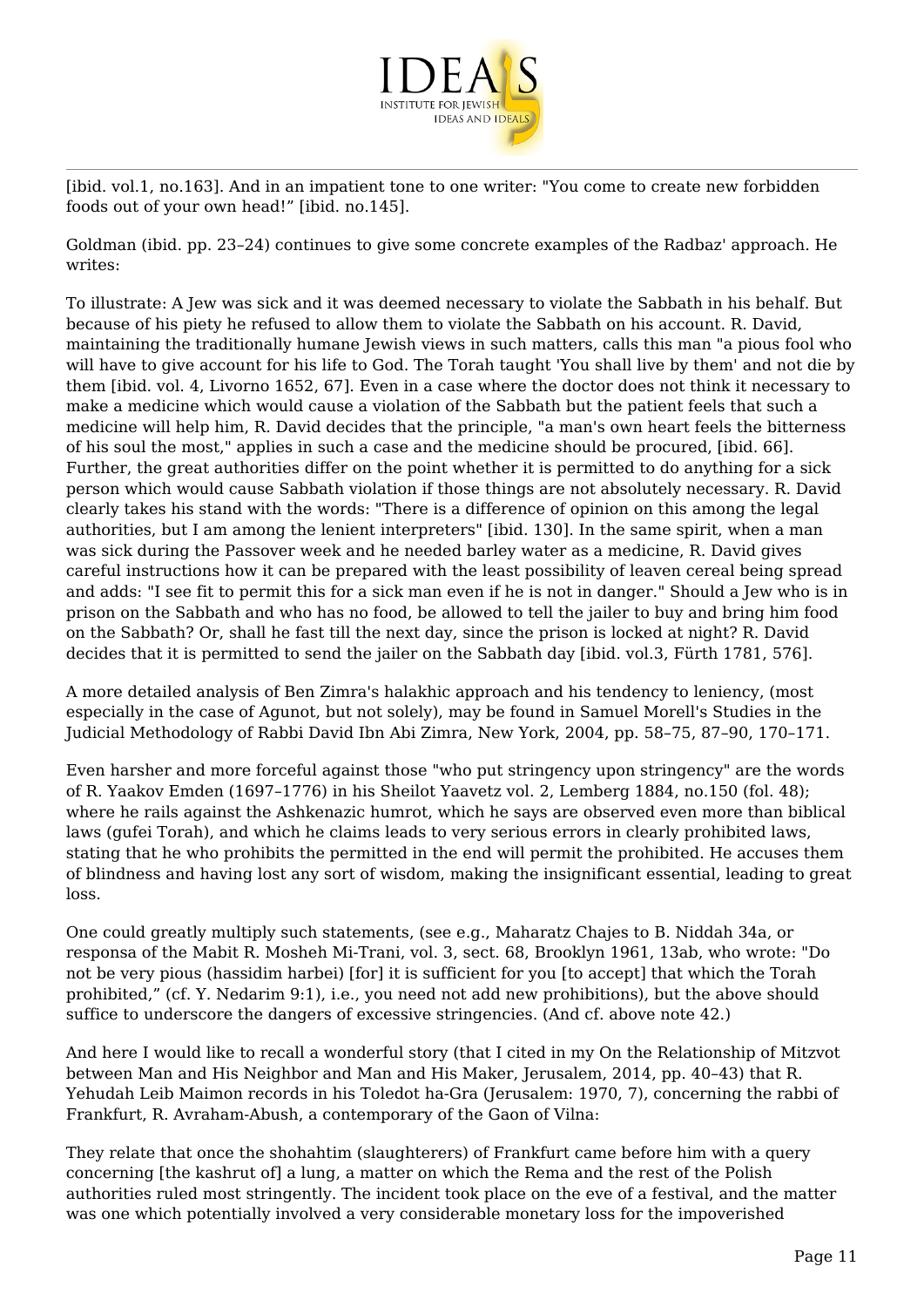

[ibid. vol.1, no.163]. And in an impatient tone to one writer: "You come to create new forbidden foods out of your own head!" [ibid. no.145].

Goldman (ibid. pp. 23–24) continues to give some concrete examples of the Radbaz' approach. He writes:

To illustrate: A Jew was sick and it was deemed necessary to violate the Sabbath in his behalf. But because of his piety he refused to allow them to violate the Sabbath on his account. R. David, maintaining the traditionally humane Jewish views in such matters, calls this man "a pious fool who will have to give account for his life to God. The Torah taught 'You shall live by them' and not die by them [ibid. vol. 4, Livorno 1652, 67]. Even in a case where the doctor does not think it necessary to make a medicine which would cause a violation of the Sabbath but the patient feels that such a medicine will help him, R. David decides that the principle, "a man's own heart feels the bitterness of his soul the most," applies in such a case and the medicine should be procured, [ibid. 66]. Further, the great authorities differ on the point whether it is permitted to do anything for a sick person which would cause Sabbath violation if those things are not absolutely necessary. R. David clearly takes his stand with the words: "There is a difference of opinion on this among the legal authorities, but I am among the lenient interpreters" [ibid. 130]. In the same spirit, when a man was sick during the Passover week and he needed barley water as a medicine, R. David gives careful instructions how it can be prepared with the least possibility of leaven cereal being spread and adds: "I see fit to permit this for a sick man even if he is not in danger." Should a Jew who is in prison on the Sabbath and who has no food, be allowed to tell the jailer to buy and bring him food on the Sabbath? Or, shall he fast till the next day, since the prison is locked at night? R. David decides that it is permitted to send the jailer on the Sabbath day [ibid. vol.3, Fürth 1781, 576].

A more detailed analysis of Ben Zimra's halakhic approach and his tendency to leniency, (most especially in the case of Agunot, but not solely), may be found in Samuel Morell's Studies in the Judicial Methodology of Rabbi David Ibn Abi Zimra, New York, 2004, pp. 58–75, 87–90, 170–171.

Even harsher and more forceful against those "who put stringency upon stringency" are the words of R. Yaakov Emden (1697–1776) in his Sheilot Yaavetz vol. 2, Lemberg 1884, no.150 (fol. 48); where he rails against the Ashkenazic humrot, which he says are observed even more than biblical laws (gufei Torah), and which he claims leads to very serious errors in clearly prohibited laws, stating that he who prohibits the permitted in the end will permit the prohibited. He accuses them of blindness and having lost any sort of wisdom, making the insignificant essential, leading to great loss.

One could greatly multiply such statements, (see e.g., Maharatz Chajes to B. Niddah 34a, or responsa of the Mabit R. Mosheh Mi-Trani, vol. 3, sect. 68, Brooklyn 1961, 13ab, who wrote: "Do not be very pious (hassidim harbei) [for] it is sufficient for you [to accept] that which the Torah prohibited," (cf. Y. Nedarim 9:1), i.e., you need not add new prohibitions), but the above should suffice to underscore the dangers of excessive stringencies. (And cf. above note 42.)

And here I would like to recall a wonderful story (that I cited in my On the Relationship of Mitzvot between Man and His Neighbor and Man and His Maker, Jerusalem, 2014, pp. 40–43) that R. Yehudah Leib Maimon records in his Toledot ha-Gra (Jerusalem: 1970, 7), concerning the rabbi of Frankfurt, R. Avraham-Abush, a contemporary of the Gaon of Vilna:

They relate that once the shohahtim (slaughterers) of Frankfurt came before him with a query concerning [the kashrut of] a lung, a matter on which the Rema and the rest of the Polish authorities ruled most stringently. The incident took place on the eve of a festival, and the matter was one which potentially involved a very considerable monetary loss for the impoverished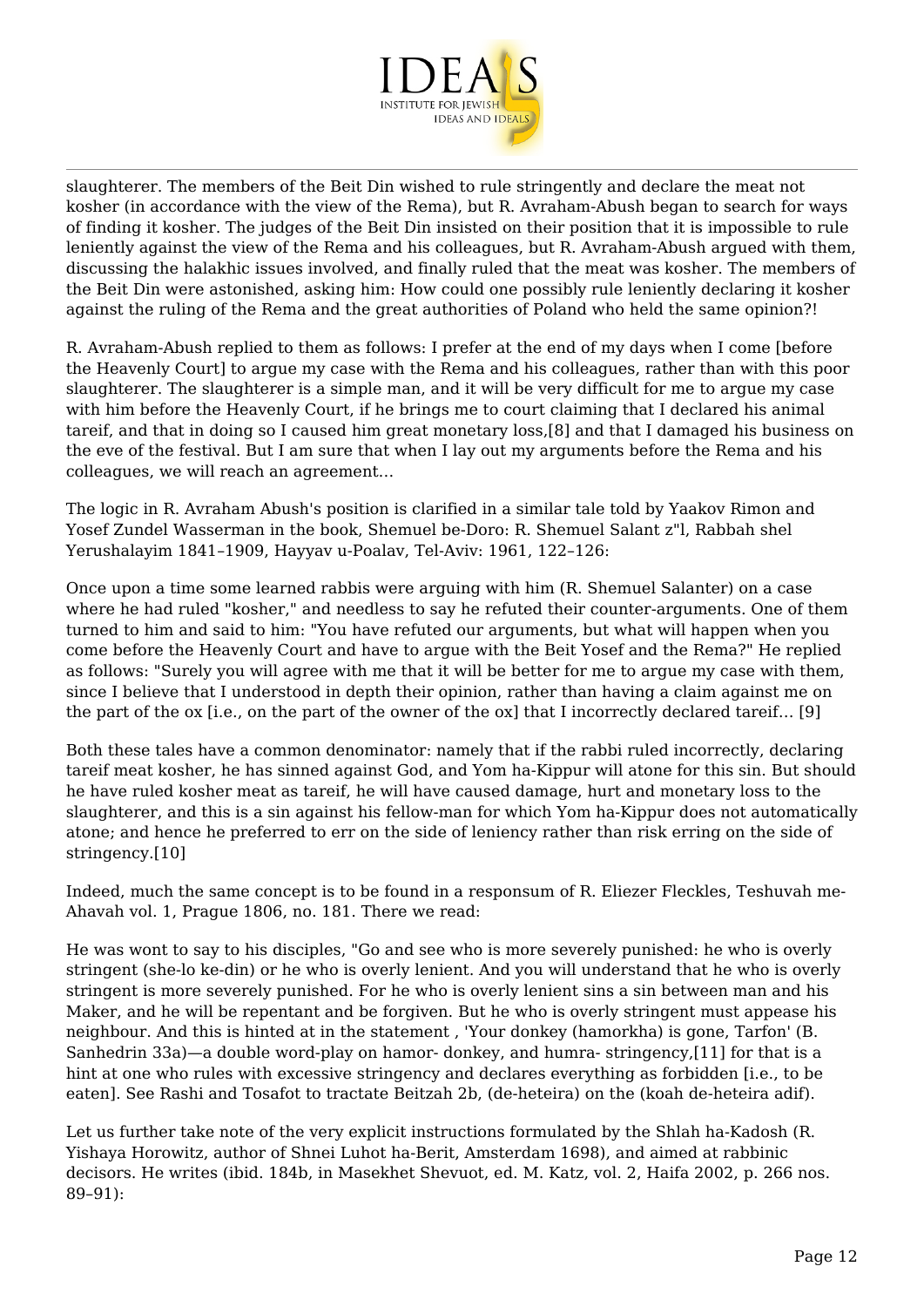

slaughterer. The members of the Beit Din wished to rule stringently and declare the meat not kosher (in accordance with the view of the Rema), but R. Avraham-Abush began to search for ways of finding it kosher. The judges of the Beit Din insisted on their position that it is impossible to rule leniently against the view of the Rema and his colleagues, but R. Avraham-Abush argued with them, discussing the halakhic issues involved, and finally ruled that the meat was kosher. The members of the Beit Din were astonished, asking him: How could one possibly rule leniently declaring it kosher against the ruling of the Rema and the great authorities of Poland who held the same opinion?!

R. Avraham-Abush replied to them as follows: I prefer at the end of my days when I come [before the Heavenly Court] to argue my case with the Rema and his colleagues, rather than with this poor slaughterer. The slaughterer is a simple man, and it will be very difficult for me to argue my case with him before the Heavenly Court, if he brings me to court claiming that I declared his animal tareif, and that in doing so I caused him great monetary loss,[8] and that I damaged his business on the eve of the festival. But I am sure that when I lay out my arguments before the Rema and his colleagues, we will reach an agreement…

The logic in R. Avraham Abush's position is clarified in a similar tale told by Yaakov Rimon and Yosef Zundel Wasserman in the book, Shemuel be-Doro: R. Shemuel Salant z"l, Rabbah shel Yerushalayim 1841–1909, Hayyav u-Poalav, Tel-Aviv: 1961, 122–126:

Once upon a time some learned rabbis were arguing with him (R. Shemuel Salanter) on a case where he had ruled "kosher," and needless to say he refuted their counter-arguments. One of them turned to him and said to him: "You have refuted our arguments, but what will happen when you come before the Heavenly Court and have to argue with the Beit Yosef and the Rema?" He replied as follows: "Surely you will agree with me that it will be better for me to argue my case with them, since I believe that I understood in depth their opinion, rather than having a claim against me on the part of the ox [i.e., on the part of the owner of the ox] that I incorrectly declared tareif… [9]

Both these tales have a common denominator: namely that if the rabbi ruled incorrectly, declaring tareif meat kosher, he has sinned against God, and Yom ha-Kippur will atone for this sin. But should he have ruled kosher meat as tareif, he will have caused damage, hurt and monetary loss to the slaughterer, and this is a sin against his fellow-man for which Yom ha-Kippur does not automatically atone; and hence he preferred to err on the side of leniency rather than risk erring on the side of stringency.[10]

Indeed, much the same concept is to be found in a responsum of R. Eliezer Fleckles, Teshuvah me-Ahavah vol. 1, Prague 1806, no. 181. There we read:

He was wont to say to his disciples, "Go and see who is more severely punished: he who is overly stringent (she-lo ke-din) or he who is overly lenient. And you will understand that he who is overly stringent is more severely punished. For he who is overly lenient sins a sin between man and his Maker, and he will be repentant and be forgiven. But he who is overly stringent must appease his neighbour. And this is hinted at in the statement , 'Your donkey (hamorkha) is gone, Tarfon' (B. Sanhedrin 33a)—a double word-play on hamor- donkey, and humra- stringency,[11] for that is a hint at one who rules with excessive stringency and declares everything as forbidden [i.e., to be eaten]. See Rashi and Tosafot to tractate Beitzah 2b, (de-heteira) on the (koah de-heteira adif).

Let us further take note of the very explicit instructions formulated by the Shlah ha-Kadosh (R. Yishaya Horowitz, author of Shnei Luhot ha-Berit, Amsterdam 1698), and aimed at rabbinic decisors. He writes (ibid. 184b, in Masekhet Shevuot, ed. M. Katz, vol. 2, Haifa 2002, p. 266 nos. 89–91):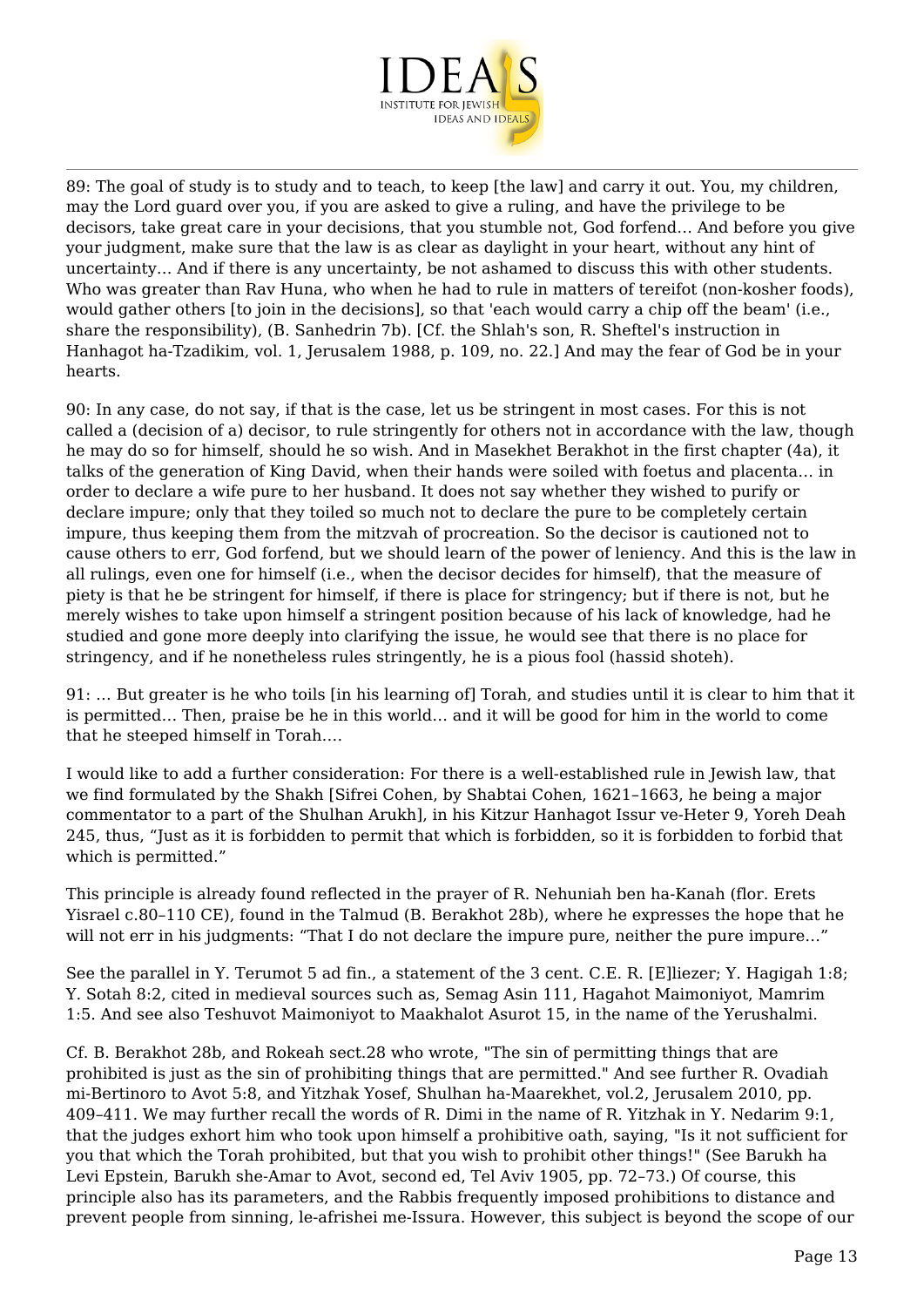

89: The goal of study is to study and to teach, to keep [the law] and carry it out. You, my children, may the Lord guard over you, if you are asked to give a ruling, and have the privilege to be decisors, take great care in your decisions, that you stumble not, God forfend… And before you give your judgment, make sure that the law is as clear as daylight in your heart, without any hint of uncertainty… And if there is any uncertainty, be not ashamed to discuss this with other students. Who was greater than Rav Huna, who when he had to rule in matters of tereifot (non-kosher foods), would gather others [to join in the decisions], so that 'each would carry a chip off the beam' (i.e., share the responsibility), (B. Sanhedrin 7b). [Cf. the Shlah's son, R. Sheftel's instruction in Hanhagot ha-Tzadikim, vol. 1, Jerusalem 1988, p. 109, no. 22.] And may the fear of God be in your hearts.

90: In any case, do not say, if that is the case, let us be stringent in most cases. For this is not called a (decision of a) decisor, to rule stringently for others not in accordance with the law, though he may do so for himself, should he so wish. And in Masekhet Berakhot in the first chapter (4a), it talks of the generation of King David, when their hands were soiled with foetus and placenta… in order to declare a wife pure to her husband. It does not say whether they wished to purify or declare impure; only that they toiled so much not to declare the pure to be completely certain impure, thus keeping them from the mitzvah of procreation. So the decisor is cautioned not to cause others to err, God forfend, but we should learn of the power of leniency. And this is the law in all rulings, even one for himself (i.e., when the decisor decides for himself), that the measure of piety is that he be stringent for himself, if there is place for stringency; but if there is not, but he merely wishes to take upon himself a stringent position because of his lack of knowledge, had he studied and gone more deeply into clarifying the issue, he would see that there is no place for stringency, and if he nonetheless rules stringently, he is a pious fool (hassid shoteh).

91: … But greater is he who toils [in his learning of] Torah, and studies until it is clear to him that it is permitted… Then, praise be he in this world… and it will be good for him in the world to come that he steeped himself in Torah….

I would like to add a further consideration: For there is a well-established rule in Jewish law, that we find formulated by the Shakh [Sifrei Cohen, by Shabtai Cohen, 1621–1663, he being a major commentator to a part of the Shulhan Arukh], in his Kitzur Hanhagot Issur ve-Heter 9, Yoreh Deah 245, thus, "Just as it is forbidden to permit that which is forbidden, so it is forbidden to forbid that which is permitted."

This principle is already found reflected in the prayer of R. Nehuniah ben ha-Kanah (flor. Erets Yisrael c.80–110 CE), found in the Talmud (B. Berakhot 28b), where he expresses the hope that he will not err in his judgments: "That I do not declare the impure pure, neither the pure impure..."

See the parallel in Y. Terumot 5 ad fin., a statement of the 3 cent. C.E. R. [E]liezer; Y. Hagigah 1:8; Y. Sotah 8:2, cited in medieval sources such as, Semag Asin 111, Hagahot Maimoniyot, Mamrim 1:5. And see also Teshuvot Maimoniyot to Maakhalot Asurot 15, in the name of the Yerushalmi.

Cf. B. Berakhot 28b, and Rokeah sect.28 who wrote, "The sin of permitting things that are prohibited is just as the sin of prohibiting things that are permitted." And see further R. Ovadiah mi-Bertinoro to Avot 5:8, and Yitzhak Yosef, Shulhan ha-Maarekhet, vol.2, Jerusalem 2010, pp. 409–411. We may further recall the words of R. Dimi in the name of R. Yitzhak in Y. Nedarim 9:1, that the judges exhort him who took upon himself a prohibitive oath, saying, "Is it not sufficient for you that which the Torah prohibited, but that you wish to prohibit other things!" (See Barukh ha Levi Epstein, Barukh she-Amar to Avot, second ed, Tel Aviv 1905, pp. 72–73.) Of course, this principle also has its parameters, and the Rabbis frequently imposed prohibitions to distance and prevent people from sinning, le-afrishei me-Issura. However, this subject is beyond the scope of our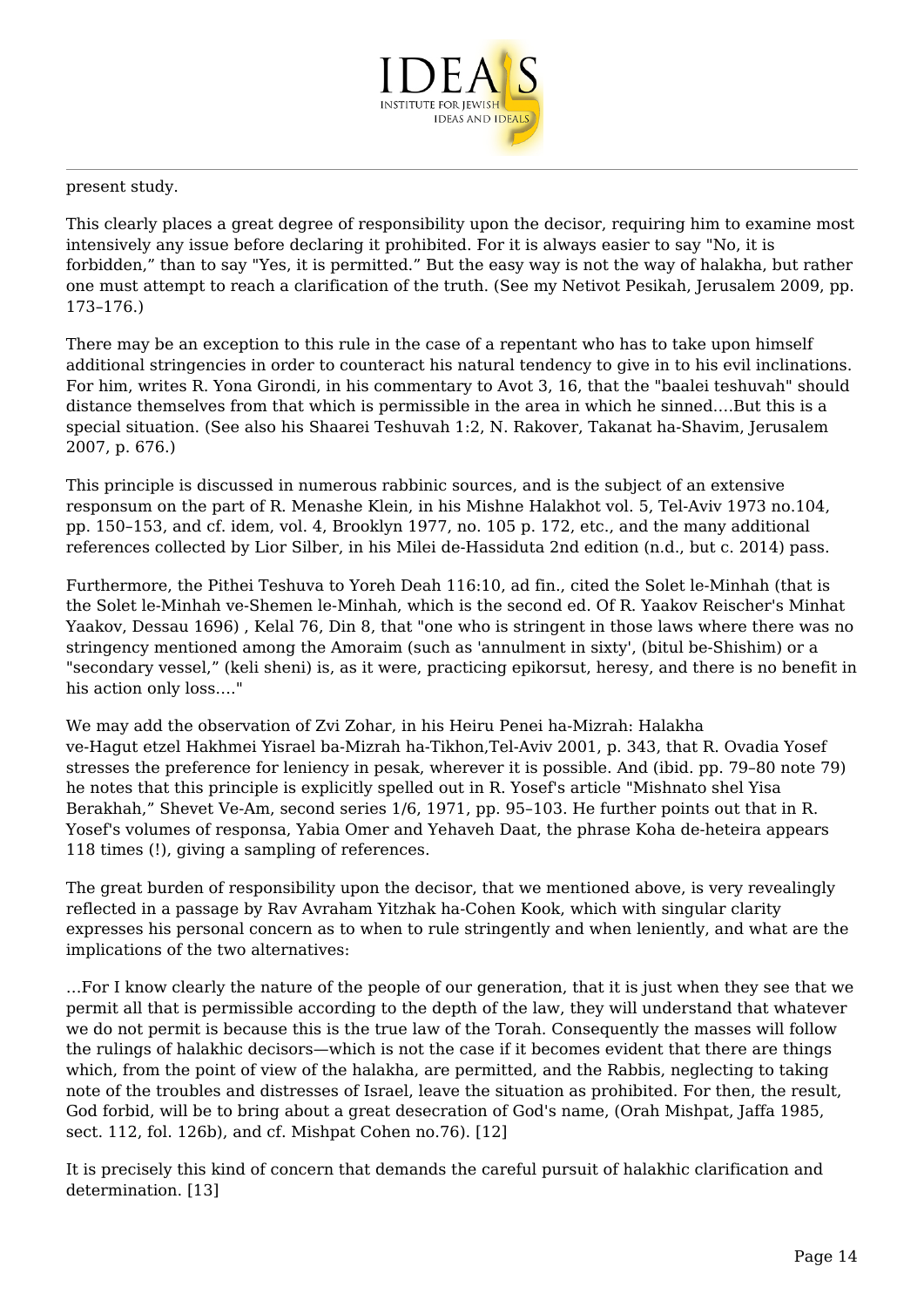

present study.

This clearly places a great degree of responsibility upon the decisor, requiring him to examine most intensively any issue before declaring it prohibited. For it is always easier to say "No, it is forbidden," than to say "Yes, it is permitted." But the easy way is not the way of halakha, but rather one must attempt to reach a clarification of the truth. (See my Netivot Pesikah, Jerusalem 2009, pp. 173–176.)

There may be an exception to this rule in the case of a repentant who has to take upon himself additional stringencies in order to counteract his natural tendency to give in to his evil inclinations. For him, writes R. Yona Girondi, in his commentary to Avot 3, 16, that the "baalei teshuvah" should distance themselves from that which is permissible in the area in which he sinned….But this is a special situation. (See also his Shaarei Teshuvah 1:2, N. Rakover, Takanat ha-Shavim, Jerusalem 2007, p. 676.)

This principle is discussed in numerous rabbinic sources, and is the subject of an extensive responsum on the part of R. Menashe Klein, in his Mishne Halakhot vol. 5, Tel-Aviv 1973 no.104, pp. 150–153, and cf. idem, vol. 4, Brooklyn 1977, no. 105 p. 172, etc., and the many additional references collected by Lior Silber, in his Milei de-Hassiduta 2nd edition (n.d., but c. 2014) pass.

Furthermore, the Pithei Teshuva to Yoreh Deah 116:10, ad fin., cited the Solet le-Minhah (that is the Solet le-Minhah ve-Shemen le-Minhah, which is the second ed. Of R. Yaakov Reischer's Minhat Yaakov, Dessau 1696) , Kelal 76, Din 8, that "one who is stringent in those laws where there was no stringency mentioned among the Amoraim (such as 'annulment in sixty', (bitul be-Shishim) or a "secondary vessel," (keli sheni) is, as it were, practicing epikorsut, heresy, and there is no benefit in his action only loss…."

We may add the observation of Zvi Zohar, in his Heiru Penei ha-Mizrah: Halakha ve-Hagut etzel Hakhmei Yisrael ba-Mizrah ha-Tikhon,Tel-Aviv 2001, p. 343, that R. Ovadia Yosef stresses the preference for leniency in pesak, wherever it is possible. And (ibid. pp. 79–80 note 79) he notes that this principle is explicitly spelled out in R. Yosef's article "Mishnato shel Yisa Berakhah," Shevet Ve-Am, second series 1/6, 1971, pp. 95–103. He further points out that in R. Yosef's volumes of responsa, Yabia Omer and Yehaveh Daat, the phrase Koha de-heteira appears 118 times (!), giving a sampling of references.

The great burden of responsibility upon the decisor, that we mentioned above, is very revealingly reflected in a passage by Rav Avraham Yitzhak ha-Cohen Kook, which with singular clarity expresses his personal concern as to when to rule stringently and when leniently, and what are the implications of the two alternatives:

…For I know clearly the nature of the people of our generation, that it is just when they see that we permit all that is permissible according to the depth of the law, they will understand that whatever we do not permit is because this is the true law of the Torah. Consequently the masses will follow the rulings of halakhic decisors—which is not the case if it becomes evident that there are things which, from the point of view of the halakha, are permitted, and the Rabbis, neglecting to taking note of the troubles and distresses of Israel, leave the situation as prohibited. For then, the result, God forbid, will be to bring about a great desecration of God's name, (Orah Mishpat, Jaffa 1985, sect. 112, fol. 126b), and cf. Mishpat Cohen no.76). [12]

It is precisely this kind of concern that demands the careful pursuit of halakhic clarification and determination. [13]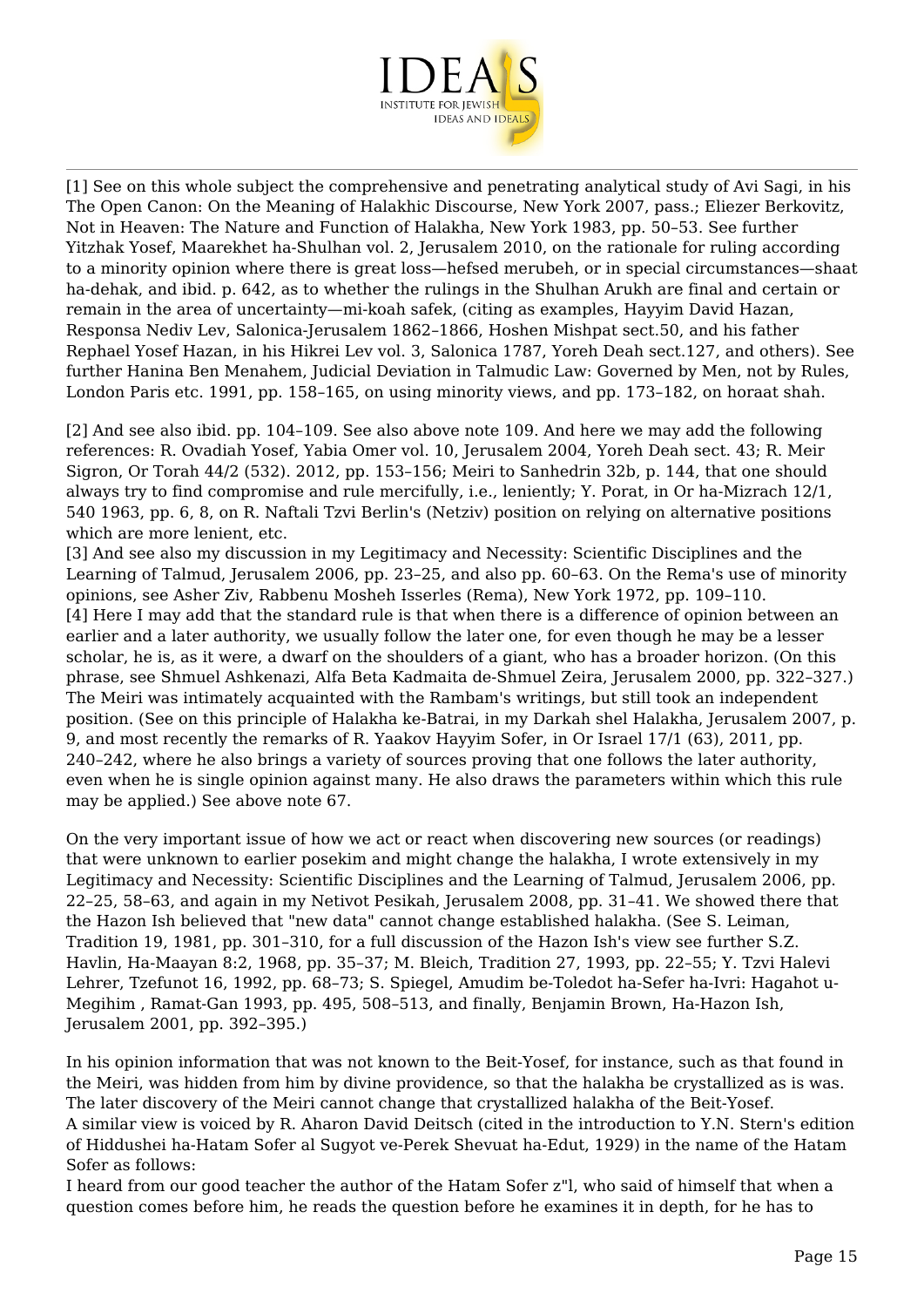

[1] See on this whole subject the comprehensive and penetrating analytical study of Avi Sagi, in his The Open Canon: On the Meaning of Halakhic Discourse, New York 2007, pass.; Eliezer Berkovitz, Not in Heaven: The Nature and Function of Halakha, New York 1983, pp. 50–53. See further Yitzhak Yosef, Maarekhet ha-Shulhan vol. 2, Jerusalem 2010, on the rationale for ruling according to a minority opinion where there is great loss—hefsed merubeh, or in special circumstances—shaat ha-dehak, and ibid. p. 642, as to whether the rulings in the Shulhan Arukh are final and certain or remain in the area of uncertainty—mi-koah safek, (citing as examples, Hayyim David Hazan, Responsa Nediv Lev, Salonica-Jerusalem 1862–1866, Hoshen Mishpat sect.50, and his father Rephael Yosef Hazan, in his Hikrei Lev vol. 3, Salonica 1787, Yoreh Deah sect.127, and others). See further Hanina Ben Menahem, Judicial Deviation in Talmudic Law: Governed by Men, not by Rules, London Paris etc. 1991, pp. 158–165, on using minority views, and pp. 173–182, on horaat shah.

[2] And see also ibid. pp. 104–109. See also above note 109. And here we may add the following references: R. Ovadiah Yosef, Yabia Omer vol. 10, Jerusalem 2004, Yoreh Deah sect. 43; R. Meir Sigron, Or Torah 44/2 (532). 2012, pp. 153–156; Meiri to Sanhedrin 32b, p. 144, that one should always try to find compromise and rule mercifully, i.e., leniently; Y. Porat, in Or ha-Mizrach 12/1, 540 1963, pp. 6, 8, on R. Naftali Tzvi Berlin's (Netziv) position on relying on alternative positions which are more lenient, etc.

[3] And see also my discussion in my Legitimacy and Necessity: Scientific Disciplines and the Learning of Talmud, Jerusalem 2006, pp. 23–25, and also pp. 60–63. On the Rema's use of minority opinions, see Asher Ziv, Rabbenu Mosheh Isserles (Rema), New York 1972, pp. 109–110. [4] Here I may add that the standard rule is that when there is a difference of opinion between an earlier and a later authority, we usually follow the later one, for even though he may be a lesser scholar, he is, as it were, a dwarf on the shoulders of a giant, who has a broader horizon. (On this phrase, see Shmuel Ashkenazi, Alfa Beta Kadmaita de-Shmuel Zeira, Jerusalem 2000, pp. 322–327.) The Meiri was intimately acquainted with the Rambam's writings, but still took an independent position. (See on this principle of Halakha ke-Batrai, in my Darkah shel Halakha, Jerusalem 2007, p. 9, and most recently the remarks of R. Yaakov Hayyim Sofer, in Or Israel 17/1 (63), 2011, pp. 240–242, where he also brings a variety of sources proving that one follows the later authority, even when he is single opinion against many. He also draws the parameters within which this rule may be applied.) See above note 67.

On the very important issue of how we act or react when discovering new sources (or readings) that were unknown to earlier posekim and might change the halakha, I wrote extensively in my Legitimacy and Necessity: Scientific Disciplines and the Learning of Talmud, Jerusalem 2006, pp. 22–25, 58–63, and again in my Netivot Pesikah, Jerusalem 2008, pp. 31–41. We showed there that the Hazon Ish believed that "new data" cannot change established halakha. (See S. Leiman, Tradition 19, 1981, pp. 301–310, for a full discussion of the Hazon Ish's view see further S.Z. Havlin, Ha-Maayan 8:2, 1968, pp. 35–37; M. Bleich, Tradition 27, 1993, pp. 22–55; Y. Tzvi Halevi Lehrer, Tzefunot 16, 1992, pp. 68–73; S. Spiegel, Amudim be-Toledot ha-Sefer ha-Ivri: Hagahot u-Megihim , Ramat-Gan 1993, pp. 495, 508–513, and finally, Benjamin Brown, Ha-Hazon Ish, Jerusalem 2001, pp. 392–395.)

In his opinion information that was not known to the Beit-Yosef, for instance, such as that found in the Meiri, was hidden from him by divine providence, so that the halakha be crystallized as is was. The later discovery of the Meiri cannot change that crystallized halakha of the Beit-Yosef. A similar view is voiced by R. Aharon David Deitsch (cited in the introduction to Y.N. Stern's edition of Hiddushei ha-Hatam Sofer al Sugyot ve-Perek Shevuat ha-Edut, 1929) in the name of the Hatam Sofer as follows:

I heard from our good teacher the author of the Hatam Sofer z"l, who said of himself that when a question comes before him, he reads the question before he examines it in depth, for he has to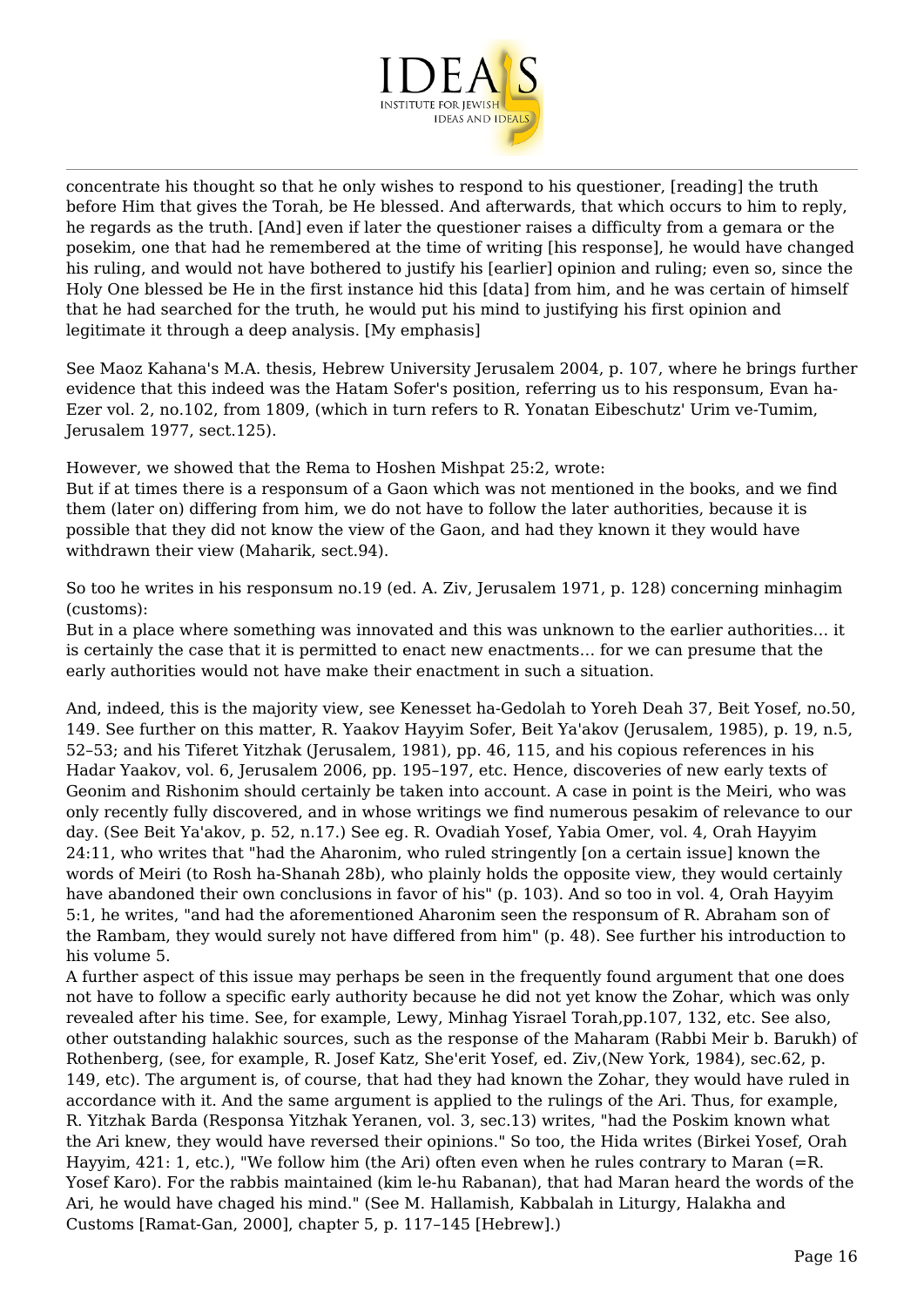

concentrate his thought so that he only wishes to respond to his questioner, [reading] the truth before Him that gives the Torah, be He blessed. And afterwards, that which occurs to him to reply, he regards as the truth. [And] even if later the questioner raises a difficulty from a gemara or the posekim, one that had he remembered at the time of writing [his response], he would have changed his ruling, and would not have bothered to justify his [earlier] opinion and ruling; even so, since the Holy One blessed be He in the first instance hid this [data] from him, and he was certain of himself that he had searched for the truth, he would put his mind to justifying his first opinion and legitimate it through a deep analysis. [My emphasis]

See Maoz Kahana's M.A. thesis, Hebrew University Jerusalem 2004, p. 107, where he brings further evidence that this indeed was the Hatam Sofer's position, referring us to his responsum, Evan ha-Ezer vol. 2, no.102, from 1809, (which in turn refers to R. Yonatan Eibeschutz' Urim ve-Tumim, Jerusalem 1977, sect.125).

However, we showed that the Rema to Hoshen Mishpat 25:2, wrote:

But if at times there is a responsum of a Gaon which was not mentioned in the books, and we find them (later on) differing from him, we do not have to follow the later authorities, because it is possible that they did not know the view of the Gaon, and had they known it they would have withdrawn their view (Maharik, sect.94).

So too he writes in his responsum no.19 (ed. A. Ziv, Jerusalem 1971, p. 128) concerning minhagim (customs):

But in a place where something was innovated and this was unknown to the earlier authorities… it is certainly the case that it is permitted to enact new enactments… for we can presume that the early authorities would not have make their enactment in such a situation.

And, indeed, this is the majority view, see Kenesset ha-Gedolah to Yoreh Deah 37, Beit Yosef, no.50, 149. See further on this matter, R. Yaakov Hayyim Sofer, Beit Ya'akov (Jerusalem, 1985), p. 19, n.5, 52–53; and his Tiferet Yitzhak (Jerusalem, 1981), pp. 46, 115, and his copious references in his Hadar Yaakov, vol. 6, Jerusalem 2006, pp. 195–197, etc. Hence, discoveries of new early texts of Geonim and Rishonim should certainly be taken into account. A case in point is the Meiri, who was only recently fully discovered, and in whose writings we find numerous pesakim of relevance to our day. (See Beit Ya'akov, p. 52, n.17.) See eg. R. Ovadiah Yosef, Yabia Omer, vol. 4, Orah Hayyim 24:11, who writes that "had the Aharonim, who ruled stringently [on a certain issue] known the words of Meiri (to Rosh ha-Shanah 28b), who plainly holds the opposite view, they would certainly have abandoned their own conclusions in favor of his" (p. 103). And so too in vol. 4, Orah Hayyim 5:1, he writes, "and had the aforementioned Aharonim seen the responsum of R. Abraham son of the Rambam, they would surely not have differed from him" (p. 48). See further his introduction to his volume 5.

A further aspect of this issue may perhaps be seen in the frequently found argument that one does not have to follow a specific early authority because he did not yet know the Zohar, which was only revealed after his time. See, for example, Lewy, Minhag Yisrael Torah,pp.107, 132, etc. See also, other outstanding halakhic sources, such as the response of the Maharam (Rabbi Meir b. Barukh) of Rothenberg, (see, for example, R. Josef Katz, She'erit Yosef, ed. Ziv,(New York, 1984), sec.62, p. 149, etc). The argument is, of course, that had they had known the Zohar, they would have ruled in accordance with it. And the same argument is applied to the rulings of the Ari. Thus, for example, R. Yitzhak Barda (Responsa Yitzhak Yeranen, vol. 3, sec.13) writes, "had the Poskim known what the Ari knew, they would have reversed their opinions." So too, the Hida writes (Birkei Yosef, Orah Hayyim, 421: 1, etc.), "We follow him (the Ari) often even when he rules contrary to Maran (=R. Yosef Karo). For the rabbis maintained (kim le-hu Rabanan), that had Maran heard the words of the Ari, he would have chaged his mind." (See M. Hallamish, Kabbalah in Liturgy, Halakha and Customs [Ramat-Gan, 2000], chapter 5, p. 117–145 [Hebrew].)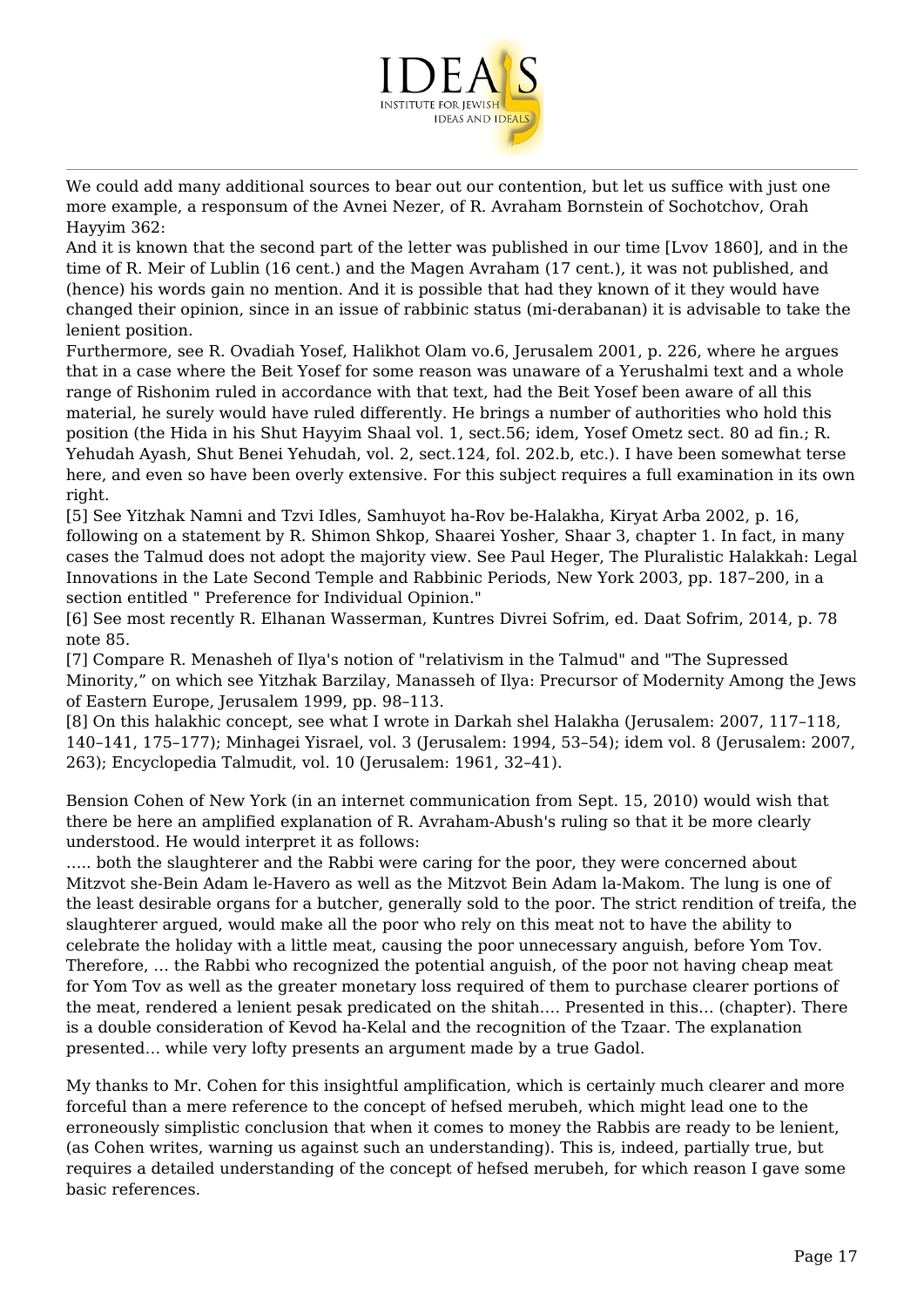

We could add many additional sources to bear out our contention, but let us suffice with just one more example, a responsum of the Avnei Nezer, of R. Avraham Bornstein of Sochotchov, Orah Hayyim 362:

And it is known that the second part of the letter was published in our time [Lvov 1860], and in the time of R. Meir of Lublin (16 cent.) and the Magen Avraham (17 cent.), it was not published, and (hence) his words gain no mention. And it is possible that had they known of it they would have changed their opinion, since in an issue of rabbinic status (mi-derabanan) it is advisable to take the lenient position.

Furthermore, see R. Ovadiah Yosef, Halikhot Olam vo.6, Jerusalem 2001, p. 226, where he argues that in a case where the Beit Yosef for some reason was unaware of a Yerushalmi text and a whole range of Rishonim ruled in accordance with that text, had the Beit Yosef been aware of all this material, he surely would have ruled differently. He brings a number of authorities who hold this position (the Hida in his Shut Hayyim Shaal vol. 1, sect.56; idem, Yosef Ometz sect. 80 ad fin.; R. Yehudah Ayash, Shut Benei Yehudah, vol. 2, sect.124, fol. 202.b, etc.). I have been somewhat terse here, and even so have been overly extensive. For this subject requires a full examination in its own right.

[5] See Yitzhak Namni and Tzvi Idles, Samhuyot ha-Rov be-Halakha, Kiryat Arba 2002, p. 16, following on a statement by R. Shimon Shkop, Shaarei Yosher, Shaar 3, chapter 1. In fact, in many cases the Talmud does not adopt the majority view. See Paul Heger, The Pluralistic Halakkah: Legal Innovations in the Late Second Temple and Rabbinic Periods, New York 2003, pp. 187–200, in a section entitled " Preference for Individual Opinion."

[6] See most recently R. Elhanan Wasserman, Kuntres Divrei Sofrim, ed. Daat Sofrim, 2014, p. 78 note 85.

[7] Compare R. Menasheh of Ilya's notion of "relativism in the Talmud" and "The Supressed Minority," on which see Yitzhak Barzilay, Manasseh of Ilya: Precursor of Modernity Among the Jews of Eastern Europe, Jerusalem 1999, pp. 98–113.

[8] On this halakhic concept, see what I wrote in Darkah shel Halakha (Jerusalem: 2007, 117–118, 140–141, 175–177); Minhagei Yisrael, vol. 3 (Jerusalem: 1994, 53–54); idem vol. 8 (Jerusalem: 2007, 263); Encyclopedia Talmudit, vol. 10 (Jerusalem: 1961, 32–41).

Bension Cohen of New York (in an internet communication from Sept. 15, 2010) would wish that there be here an amplified explanation of R. Avraham-Abush's ruling so that it be more clearly understood. He would interpret it as follows:

….. both the slaughterer and the Rabbi were caring for the poor, they were concerned about Mitzvot she-Bein Adam le-Havero as well as the Mitzvot Bein Adam la-Makom. The lung is one of the least desirable organs for a butcher, generally sold to the poor. The strict rendition of treifa, the slaughterer argued, would make all the poor who rely on this meat not to have the ability to celebrate the holiday with a little meat, causing the poor unnecessary anguish, before Yom Tov. Therefore, … the Rabbi who recognized the potential anguish, of the poor not having cheap meat for Yom Tov as well as the greater monetary loss required of them to purchase clearer portions of the meat, rendered a lenient pesak predicated on the shitah…. Presented in this… (chapter). There is a double consideration of Kevod ha-Kelal and the recognition of the Tzaar. The explanation presented… while very lofty presents an argument made by a true Gadol.

My thanks to Mr. Cohen for this insightful amplification, which is certainly much clearer and more forceful than a mere reference to the concept of hefsed merubeh, which might lead one to the erroneously simplistic conclusion that when it comes to money the Rabbis are ready to be lenient, (as Cohen writes, warning us against such an understanding). This is, indeed, partially true, but requires a detailed understanding of the concept of hefsed merubeh, for which reason I gave some basic references.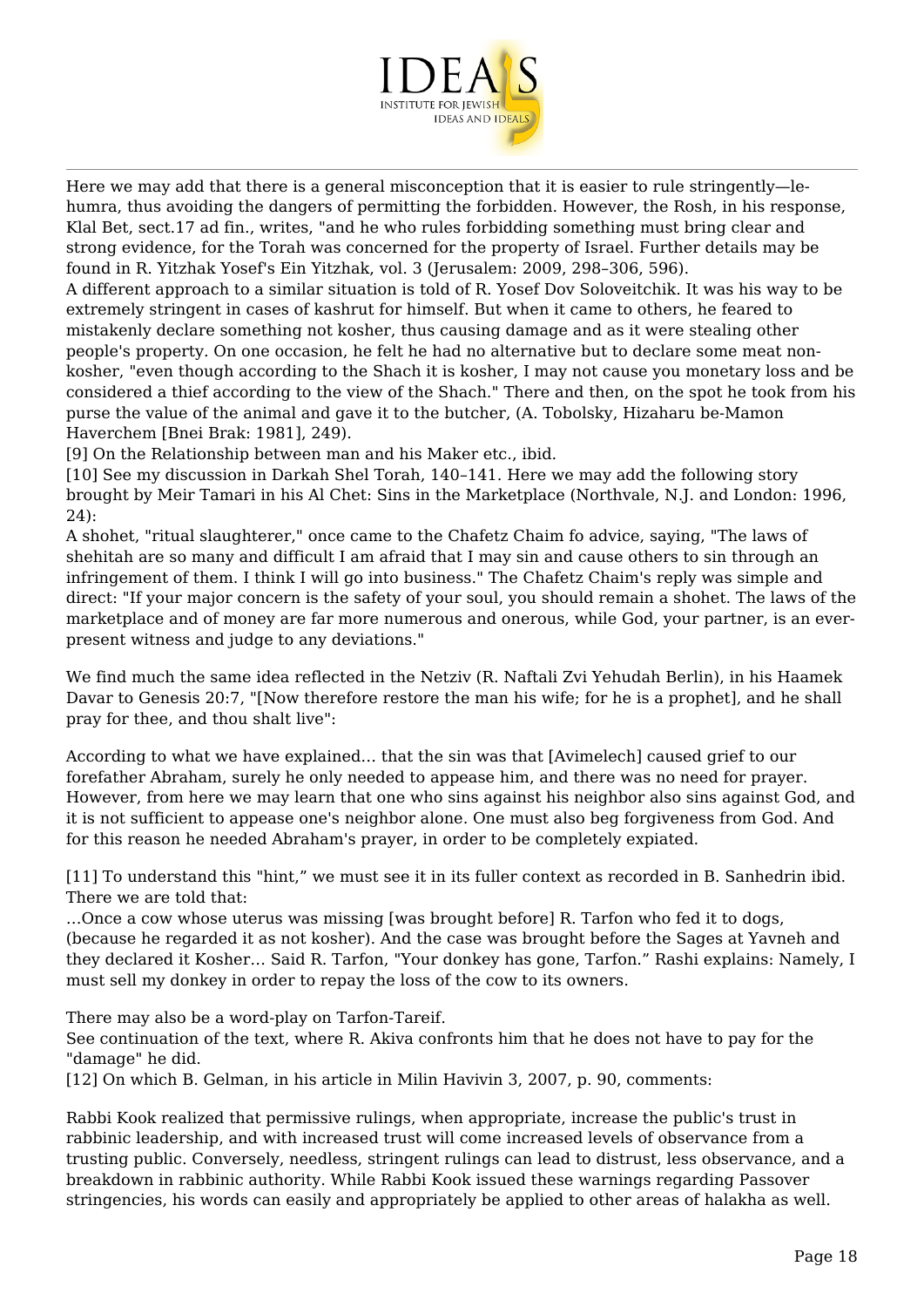

Here we may add that there is a general misconception that it is easier to rule stringently—lehumra, thus avoiding the dangers of permitting the forbidden. However, the Rosh, in his response, Klal Bet, sect.17 ad fin., writes, "and he who rules forbidding something must bring clear and strong evidence, for the Torah was concerned for the property of Israel. Further details may be found in R. Yitzhak Yosef's Ein Yitzhak, vol. 3 (Jerusalem: 2009, 298–306, 596).

A different approach to a similar situation is told of R. Yosef Dov Soloveitchik. It was his way to be extremely stringent in cases of kashrut for himself. But when it came to others, he feared to mistakenly declare something not kosher, thus causing damage and as it were stealing other people's property. On one occasion, he felt he had no alternative but to declare some meat nonkosher, "even though according to the Shach it is kosher, I may not cause you monetary loss and be considered a thief according to the view of the Shach." There and then, on the spot he took from his purse the value of the animal and gave it to the butcher, (A. Tobolsky, Hizaharu be-Mamon Haverchem [Bnei Brak: 1981], 249).

[9] On the Relationship between man and his Maker etc., ibid.

[10] See my discussion in Darkah Shel Torah, 140–141. Here we may add the following story brought by Meir Tamari in his Al Chet: Sins in the Marketplace (Northvale, N.J. and London: 1996, 24):

A shohet, "ritual slaughterer," once came to the Chafetz Chaim fo advice, saying, "The laws of shehitah are so many and difficult I am afraid that I may sin and cause others to sin through an infringement of them. I think I will go into business." The Chafetz Chaim's reply was simple and direct: "If your major concern is the safety of your soul, you should remain a shohet. The laws of the marketplace and of money are far more numerous and onerous, while God, your partner, is an everpresent witness and judge to any deviations."

We find much the same idea reflected in the Netziv (R. Naftali Zvi Yehudah Berlin), in his Haamek Davar to Genesis 20:7, "[Now therefore restore the man his wife; for he is a prophet], and he shall pray for thee, and thou shalt live":

According to what we have explained… that the sin was that [Avimelech] caused grief to our forefather Abraham, surely he only needed to appease him, and there was no need for prayer. However, from here we may learn that one who sins against his neighbor also sins against God, and it is not sufficient to appease one's neighbor alone. One must also beg forgiveness from God. And for this reason he needed Abraham's prayer, in order to be completely expiated.

[11] To understand this "hint," we must see it in its fuller context as recorded in B. Sanhedrin ibid. There we are told that:

…Once a cow whose uterus was missing [was brought before] R. Tarfon who fed it to dogs, (because he regarded it as not kosher). And the case was brought before the Sages at Yavneh and they declared it Kosher… Said R. Tarfon, "Your donkey has gone, Tarfon." Rashi explains: Namely, I must sell my donkey in order to repay the loss of the cow to its owners.

There may also be a word-play on Tarfon-Tareif.

See continuation of the text, where R. Akiva confronts him that he does not have to pay for the "damage" he did.

[12] On which B. Gelman, in his article in Milin Havivin 3, 2007, p. 90, comments:

Rabbi Kook realized that permissive rulings, when appropriate, increase the public's trust in rabbinic leadership, and with increased trust will come increased levels of observance from a trusting public. Conversely, needless, stringent rulings can lead to distrust, less observance, and a breakdown in rabbinic authority. While Rabbi Kook issued these warnings regarding Passover stringencies, his words can easily and appropriately be applied to other areas of halakha as well.